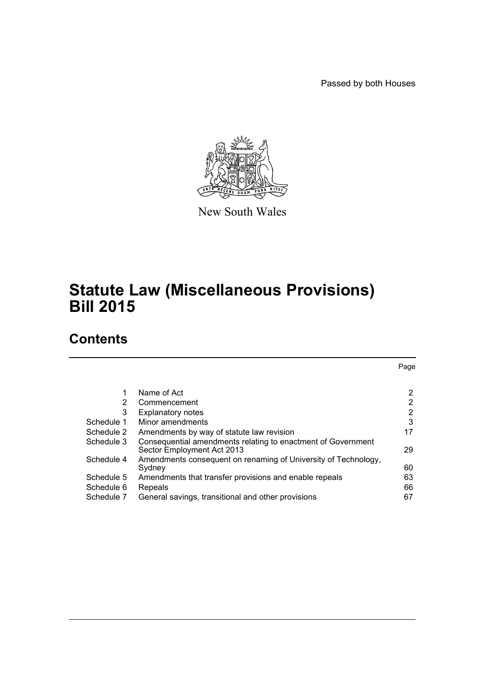Passed by both Houses



New South Wales

# **Statute Law (Miscellaneous Provisions) Bill 2015**

# **Contents**

|            |                                                                                            | Page           |
|------------|--------------------------------------------------------------------------------------------|----------------|
|            |                                                                                            |                |
| 1          | Name of Act                                                                                | 2              |
| 2          | Commencement                                                                               | 2              |
| 3          | <b>Explanatory notes</b>                                                                   | $\overline{2}$ |
| Schedule 1 | Minor amendments                                                                           | 3              |
| Schedule 2 | Amendments by way of statute law revision                                                  | 17             |
| Schedule 3 | Consequential amendments relating to enactment of Government<br>Sector Employment Act 2013 | 29             |
| Schedule 4 | Amendments consequent on renaming of University of Technology,                             |                |
|            | Sydney                                                                                     | 60             |
| Schedule 5 | Amendments that transfer provisions and enable repeals                                     | 63             |
| Schedule 6 | Repeals                                                                                    | 66             |
| Schedule 7 | General savings, transitional and other provisions                                         | 67             |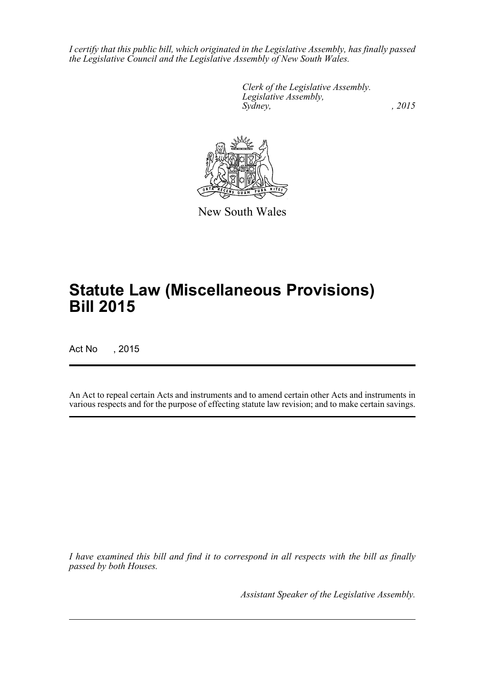*I certify that this public bill, which originated in the Legislative Assembly, has finally passed the Legislative Council and the Legislative Assembly of New South Wales.*

> *Clerk of the Legislative Assembly. Legislative Assembly, Sydney,* , 2015



New South Wales

# **Statute Law (Miscellaneous Provisions) Bill 2015**

Act No , 2015

An Act to repeal certain Acts and instruments and to amend certain other Acts and instruments in various respects and for the purpose of effecting statute law revision; and to make certain savings.

*I have examined this bill and find it to correspond in all respects with the bill as finally passed by both Houses.*

*Assistant Speaker of the Legislative Assembly.*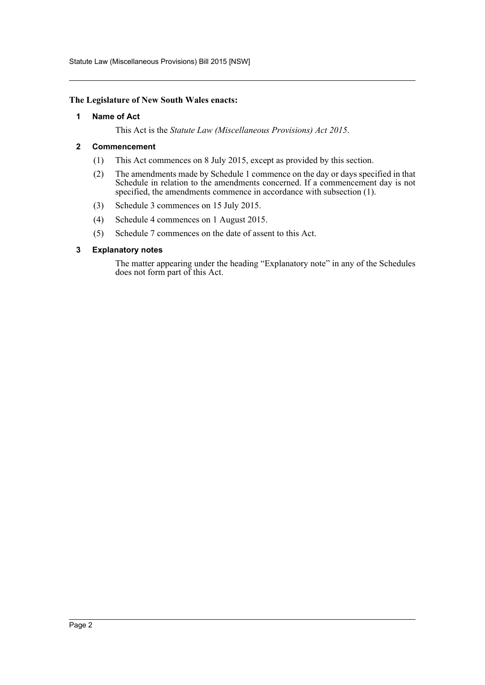Statute Law (Miscellaneous Provisions) Bill 2015 [NSW]

#### <span id="page-2-0"></span>**The Legislature of New South Wales enacts:**

#### **1 Name of Act**

This Act is the *Statute Law (Miscellaneous Provisions) Act 2015*.

### <span id="page-2-1"></span>**2 Commencement**

- (1) This Act commences on 8 July 2015, except as provided by this section.
- (2) The amendments made by Schedule 1 commence on the day or days specified in that Schedule in relation to the amendments concerned. If a commencement day is not specified, the amendments commence in accordance with subsection (1).
- (3) Schedule 3 commences on 15 July 2015.
- (4) Schedule 4 commences on 1 August 2015.
- (5) Schedule 7 commences on the date of assent to this Act.

#### <span id="page-2-2"></span>**3 Explanatory notes**

The matter appearing under the heading "Explanatory note" in any of the Schedules does not form part of this Act.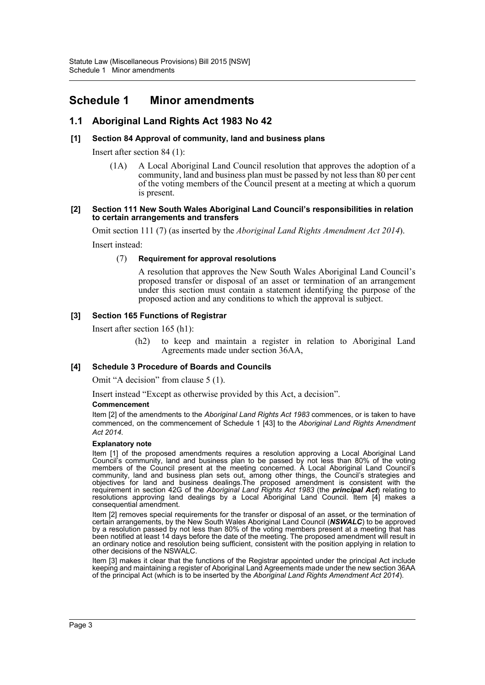# <span id="page-3-0"></span>**Schedule 1 Minor amendments**

# **1.1 Aboriginal Land Rights Act 1983 No 42**

### **[1] Section 84 Approval of community, land and business plans**

Insert after section 84 (1):

(1A) A Local Aboriginal Land Council resolution that approves the adoption of a community, land and business plan must be passed by not less than 80 per cent of the voting members of the Council present at a meeting at which a quorum is present.

#### **[2] Section 111 New South Wales Aboriginal Land Council's responsibilities in relation to certain arrangements and transfers**

Omit section 111 (7) (as inserted by the *Aboriginal Land Rights Amendment Act 2014*).

Insert instead:

#### (7) **Requirement for approval resolutions**

A resolution that approves the New South Wales Aboriginal Land Council's proposed transfer or disposal of an asset or termination of an arrangement under this section must contain a statement identifying the purpose of the proposed action and any conditions to which the approval is subject.

### **[3] Section 165 Functions of Registrar**

Insert after section 165 (h1):

(h2) to keep and maintain a register in relation to Aboriginal Land Agreements made under section 36AA,

### **[4] Schedule 3 Procedure of Boards and Councils**

Omit "A decision" from clause 5 (1).

Insert instead "Except as otherwise provided by this Act, a decision".

#### **Commencement**

Item [2] of the amendments to the *Aboriginal Land Rights Act 1983* commences, or is taken to have commenced, on the commencement of Schedule 1 [43] to the *Aboriginal Land Rights Amendment Act 2014*.

#### **Explanatory note**

Item [1] of the proposed amendments requires a resolution approving a Local Aboriginal Land Council's community, land and business plan to be passed by not less than 80% of the voting members of the Council present at the meeting concerned. A Local Aboriginal Land Council's community, land and business plan sets out, among other things, the Council's strategies and objectives for land and business dealings.The proposed amendment is consistent with the requirement in section 42G of the *Aboriginal Land Rights Act 1983* (the *principal Act*) relating to resolutions approving land dealings by a Local Aboriginal Land Council. Item [4] makes a consequential amendment.

Item [2] removes special requirements for the transfer or disposal of an asset, or the termination of certain arrangements, by the New South Wales Aboriginal Land Council (*NSWALC*) to be approved by a resolution passed by not less than 80% of the voting members present at a meeting that has been notified at least 14 days before the date of the meeting. The proposed amendment will result in an ordinary notice and resolution being sufficient, consistent with the position applying in relation to other decisions of the NSWALC.

Item [3] makes it clear that the functions of the Registrar appointed under the principal Act include keeping and maintaining a register of Aboriginal Land Agreements made under the new section 36AA of the principal Act (which is to be inserted by the *Aboriginal Land Rights Amendment Act 2014*).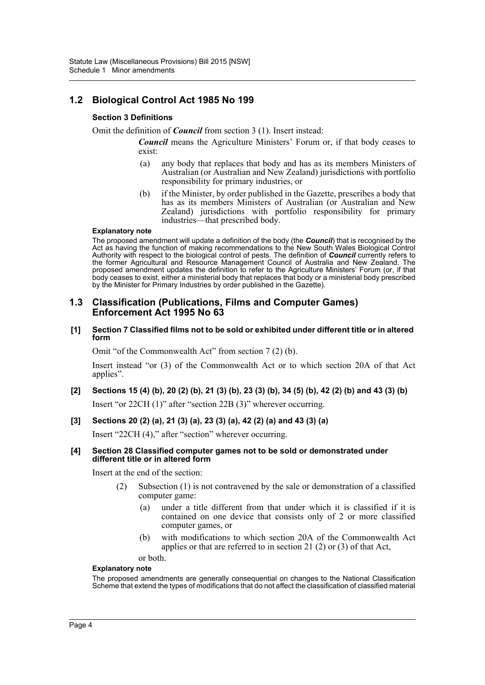# **1.2 Biological Control Act 1985 No 199**

### **Section 3 Definitions**

Omit the definition of *Council* from section 3 (1). Insert instead:

*Council* means the Agriculture Ministers' Forum or, if that body ceases to exist:

- (a) any body that replaces that body and has as its members Ministers of Australian (or Australian and New Zealand) jurisdictions with portfolio responsibility for primary industries, or
- (b) if the Minister, by order published in the Gazette, prescribes a body that has as its members Ministers of Australian (or Australian and New Zealand) jurisdictions with portfolio responsibility for primary industries—that prescribed body.

#### **Explanatory note**

The proposed amendment will update a definition of the body (the *Council*) that is recognised by the Act as having the function of making recommendations to the New South Wales Biological Control Authority with respect to the biological control of pests. The definition of *Council* currently refers to the former Agricultural and Resource Management Council of Australia and New Zealand. The proposed amendment updates the definition to refer to the Agriculture Ministers' Forum (or, if that body ceases to exist, either a ministerial body that replaces that body or a ministerial body prescribed by the Minister for Primary Industries by order published in the Gazette).

### **1.3 Classification (Publications, Films and Computer Games) Enforcement Act 1995 No 63**

**[1] Section 7 Classified films not to be sold or exhibited under different title or in altered form**

Omit "of the Commonwealth Act" from section 7 (2) (b).

Insert instead "or (3) of the Commonwealth Act or to which section 20A of that Act applies".

**[2] Sections 15 (4) (b), 20 (2) (b), 21 (3) (b), 23 (3) (b), 34 (5) (b), 42 (2) (b) and 43 (3) (b)** Insert "or 22CH (1)" after "section 22B (3)" wherever occurring.

### **[3] Sections 20 (2) (a), 21 (3) (a), 23 (3) (a), 42 (2) (a) and 43 (3) (a)**

Insert "22CH (4)," after "section" wherever occurring.

#### **[4] Section 28 Classified computer games not to be sold or demonstrated under different title or in altered form**

Insert at the end of the section:

- (2) Subsection (1) is not contravened by the sale or demonstration of a classified computer game:
	- (a) under a title different from that under which it is classified if it is contained on one device that consists only of 2 or more classified computer games, or
	- (b) with modifications to which section 20A of the Commonwealth Act applies or that are referred to in section 21 (2) or (3) of that Act,

or both.

#### **Explanatory note**

The proposed amendments are generally consequential on changes to the National Classification Scheme that extend the types of modifications that do not affect the classification of classified material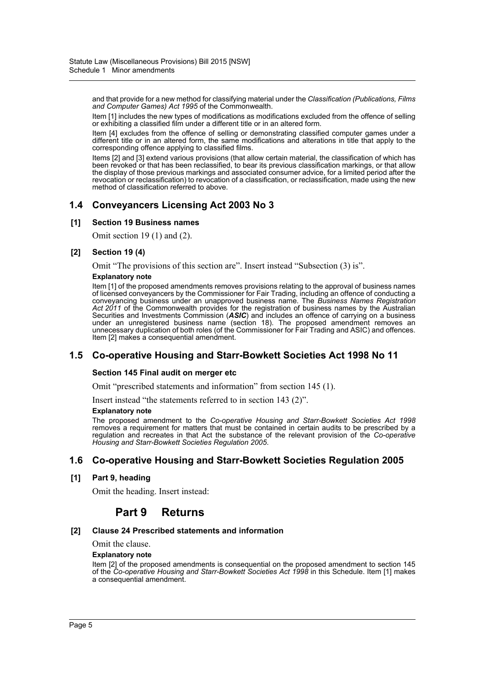and that provide for a new method for classifying material under the *Classification (Publications, Films and Computer Games) Act 1995* of the Commonwealth.

Item [1] includes the new types of modifications as modifications excluded from the offence of selling or exhibiting a classified film under a different title or in an altered form.

Item [4] excludes from the offence of selling or demonstrating classified computer games under a different title or in an altered form, the same modifications and alterations in title that apply to the corresponding offence applying to classified films.

Items [2] and [3] extend various provisions (that allow certain material, the classification of which has been revoked or that has been reclassified, to bear its previous classification markings, or that allow the display of those previous markings and associated consumer advice, for a limited period after the revocation or reclassification) to revocation of a classification, or reclassification, made using the new method of classification referred to above.

# **1.4 Conveyancers Licensing Act 2003 No 3**

### **[1] Section 19 Business names**

Omit section 19 (1) and (2).

### **[2] Section 19 (4)**

Omit "The provisions of this section are". Insert instead "Subsection (3) is".

#### **Explanatory note**

Item [1] of the proposed amendments removes provisions relating to the approval of business names of licensed conveyancers by the Commissioner for Fair Trading, including an offence of conducting a conveyancing business under an unapproved business name. The *Business Names Registration Act 2011* of the Commonwealth provides for the registration of business names by the Australian Securities and Investments Commission (*ASIC*) and includes an offence of carrying on a business under an unregistered business name (section 18). The proposed amendment removes an unnecessary duplication of both roles (of the Commissioner for Fair Trading and ASIC) and offences. Item [2] makes a consequential amendment.

### **1.5 Co-operative Housing and Starr-Bowkett Societies Act 1998 No 11**

### **Section 145 Final audit on merger etc**

Omit "prescribed statements and information" from section 145 (1).

Insert instead "the statements referred to in section 143 (2)".

#### **Explanatory note**

The proposed amendment to the *Co-operative Housing and Starr-Bowkett Societies Act 1998* removes a requirement for matters that must be contained in certain audits to be prescribed by a regulation and recreates in that Act the substance of the relevant provision of the *Co-operative Housing and Starr-Bowkett Societies Regulation 2005*.

### **1.6 Co-operative Housing and Starr-Bowkett Societies Regulation 2005**

### **[1] Part 9, heading**

Omit the heading. Insert instead:

# **Part 9 Returns**

### **[2] Clause 24 Prescribed statements and information**

Omit the clause.

#### **Explanatory note**

Item [2] of the proposed amendments is consequential on the proposed amendment to section 145 of the *Co-operative Housing and Starr-Bowkett Societies Act 1998* in this Schedule. Item [1] makes a consequential amendment.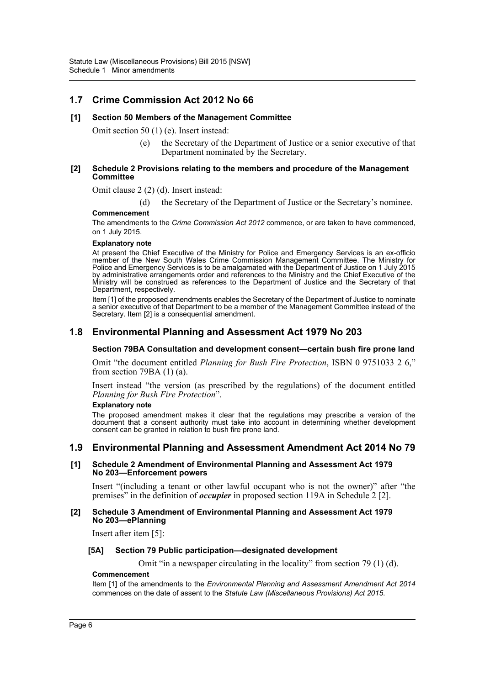# **1.7 Crime Commission Act 2012 No 66**

### **[1] Section 50 Members of the Management Committee**

Omit section 50 (1) (e). Insert instead:

(e) the Secretary of the Department of Justice or a senior executive of that Department nominated by the Secretary.

#### **[2] Schedule 2 Provisions relating to the members and procedure of the Management Committee**

Omit clause 2 (2) (d). Insert instead:

(d) the Secretary of the Department of Justice or the Secretary's nominee.

#### **Commencement**

The amendments to the *Crime Commission Act 2012* commence, or are taken to have commenced, on 1 July 2015.

#### **Explanatory note**

At present the Chief Executive of the Ministry for Police and Emergency Services is an ex-officio member of the New South Wales Crime Commission Management Committee. The Ministry for Police and Emergency Services is to be amalgamated with the Department of Justice on 1 July 2015 by administrative arrangements order and references to the Ministry and the Chief Executive of the Ministry will be construed as references to the Department of Justice and the Secretary of that Department, respectively.

Item [1] of the proposed amendments enables the Secretary of the Department of Justice to nominate a senior executive of that Department to be a member of the Management Committee instead of the Secretary. Item [2] is a consequential amendment.

### **1.8 Environmental Planning and Assessment Act 1979 No 203**

#### **Section 79BA Consultation and development consent—certain bush fire prone land**

Omit "the document entitled *Planning for Bush Fire Protection*, ISBN 0 9751033 2 6," from section 79BA  $(1)$   $(a)$ .

Insert instead "the version (as prescribed by the regulations) of the document entitled *Planning for Bush Fire Protection*".

#### **Explanatory note**

The proposed amendment makes it clear that the regulations may prescribe a version of the document that a consent authority must take into account in determining whether development consent can be granted in relation to bush fire prone land.

### **1.9 Environmental Planning and Assessment Amendment Act 2014 No 79**

#### **[1] Schedule 2 Amendment of Environmental Planning and Assessment Act 1979 No 203—Enforcement powers**

Insert "(including a tenant or other lawful occupant who is not the owner)" after "the premises" in the definition of *occupier* in proposed section 119A in Schedule 2 [2].

#### **[2] Schedule 3 Amendment of Environmental Planning and Assessment Act 1979 No 203—ePlanning**

Insert after item [5]:

#### **[5A] Section 79 Public participation—designated development**

Omit "in a newspaper circulating in the locality" from section 79 (1) (d).

#### **Commencement**

Item [1] of the amendments to the *Environmental Planning and Assessment Amendment Act 2014* commences on the date of assent to the *Statute Law (Miscellaneous Provisions) Act 2015*.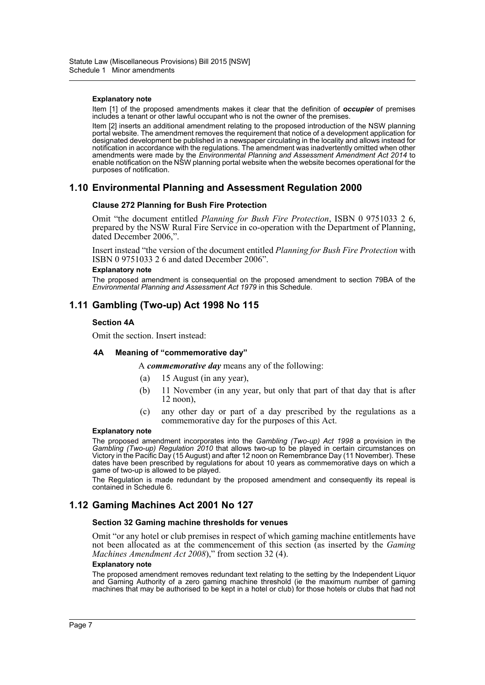#### **Explanatory note**

Item [1] of the proposed amendments makes it clear that the definition of *occupier* of premises includes a tenant or other lawful occupant who is not the owner of the premises.

Item [2] inserts an additional amendment relating to the proposed introduction of the NSW planning portal website. The amendment removes the requirement that notice of a development application for designated development be published in a newspaper circulating in the locality and allows instead for notification in accordance with the regulations. The amendment was inadvertently omitted when other amendments were made by the *Environmental Planning and Assessment Amendment Act 2014* to enable notification on the NSW planning portal website when the website becomes operational for the purposes of notification.

### **1.10 Environmental Planning and Assessment Regulation 2000**

#### **Clause 272 Planning for Bush Fire Protection**

Omit "the document entitled *Planning for Bush Fire Protection*, ISBN 0 9751033 2 6, prepared by the NSW Rural Fire Service in co-operation with the Department of Planning, dated December 2006,".

Insert instead "the version of the document entitled *Planning for Bush Fire Protection* with ISBN 0 9751033 2 6 and dated December 2006".

#### **Explanatory note**

The proposed amendment is consequential on the proposed amendment to section 79BA of the *Environmental Planning and Assessment Act 1979* in this Schedule.

### **1.11 Gambling (Two-up) Act 1998 No 115**

#### **Section 4A**

Omit the section. Insert instead:

#### **4A Meaning of "commemorative day"**

A *commemorative day* means any of the following:

- (a) 15 August (in any year),
- (b) 11 November (in any year, but only that part of that day that is after 12 noon),
- (c) any other day or part of a day prescribed by the regulations as a commemorative day for the purposes of this Act.

#### **Explanatory note**

The proposed amendment incorporates into the *Gambling (Two-up) Act 1998* a provision in the *Gambling (Two-up) Regulation 2010* that allows two-up to be played in certain circumstances on Victory in the Pacific Day (15 August) and after 12 noon on Remembrance Day (11 November). These dates have been prescribed by regulations for about 10 years as commemorative days on which a game of two-up is allowed to be played.

The Regulation is made redundant by the proposed amendment and consequently its repeal is contained in Schedule 6.

# **1.12 Gaming Machines Act 2001 No 127**

#### **Section 32 Gaming machine thresholds for venues**

Omit "or any hotel or club premises in respect of which gaming machine entitlements have not been allocated as at the commencement of this section (as inserted by the *Gaming Machines Amendment Act 2008*)," from section 32 (4).

#### **Explanatory note**

The proposed amendment removes redundant text relating to the setting by the Independent Liquor and Gaming Authority of a zero gaming machine threshold (ie the maximum number of gaming machines that may be authorised to be kept in a hotel or club) for those hotels or clubs that had not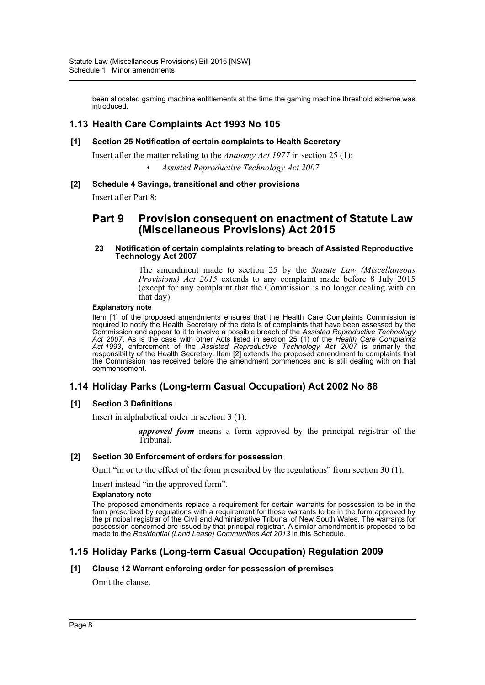been allocated gaming machine entitlements at the time the gaming machine threshold scheme was introduced.

### **1.13 Health Care Complaints Act 1993 No 105**

**[1] Section 25 Notification of certain complaints to Health Secretary**

Insert after the matter relating to the *Anatomy Act 1977* in section 25 (1): • *Assisted Reproductive Technology Act 2007*

**[2] Schedule 4 Savings, transitional and other provisions**

Insert after Part 8:

# **Part 9 Provision consequent on enactment of Statute Law (Miscellaneous Provisions) Act 2015**

#### **23 Notification of certain complaints relating to breach of Assisted Reproductive Technology Act 2007**

The amendment made to section 25 by the *Statute Law (Miscellaneous Provisions) Act 2015* extends to any complaint made before 8 July 2015 (except for any complaint that the Commission is no longer dealing with on that day).

#### **Explanatory note**

Item [1] of the proposed amendments ensures that the Health Care Complaints Commission is required to notify the Health Secretary of the details of complaints that have been assessed by the Commission and appear to it to involve a possible breach of the *Assisted Reproductive Technology Act 2007*. As is the case with other Acts listed in section 25 (1) of the *Health Care Complaints Act 1993*, enforcement of the *Assisted Reproductive Technology Act 2007* is primarily the responsibility of the Health Secretary. Item [2] extends the proposed amendment to complaints that the Commission has received before the amendment commences and is still dealing with on that commencement.

### **1.14 Holiday Parks (Long-term Casual Occupation) Act 2002 No 88**

### **[1] Section 3 Definitions**

Insert in alphabetical order in section 3 (1):

*approved form* means a form approved by the principal registrar of the Tribunal.

### **[2] Section 30 Enforcement of orders for possession**

Omit "in or to the effect of the form prescribed by the regulations" from section 30 (1).

Insert instead "in the approved form".

#### **Explanatory note**

The proposed amendments replace a requirement for certain warrants for possession to be in the form prescribed by regulations with a requirement for those warrants to be in the form approved by the principal registrar of the Civil and Administrative Tribunal of New South Wales. The warrants for possession concerned are issued by that principal registrar. A similar amendment is proposed to be made to the *Residential (Land Lease) Communities Act 2013* in this Schedule.

# **1.15 Holiday Parks (Long-term Casual Occupation) Regulation 2009**

### **[1] Clause 12 Warrant enforcing order for possession of premises**

Omit the clause.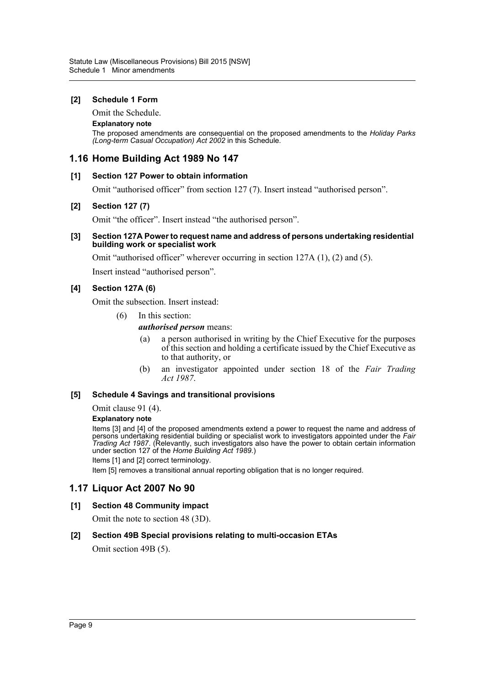### **[2] Schedule 1 Form**

Omit the Schedule.

### **Explanatory note**

The proposed amendments are consequential on the proposed amendments to the *Holiday Parks (Long-term Casual Occupation) Act 2002* in this Schedule.

# **1.16 Home Building Act 1989 No 147**

### **[1] Section 127 Power to obtain information**

Omit "authorised officer" from section 127 (7). Insert instead "authorised person".

### **[2] Section 127 (7)**

Omit "the officer". Insert instead "the authorised person".

#### **[3] Section 127A Power to request name and address of persons undertaking residential building work or specialist work**

Omit "authorised officer" wherever occurring in section 127A (1), (2) and (5).

Insert instead "authorised person".

### **[4] Section 127A (6)**

Omit the subsection. Insert instead:

- (6) In this section:
	- *authorised person* means:
		- (a) a person authorised in writing by the Chief Executive for the purposes of this section and holding a certificate issued by the Chief Executive as to that authority, or
		- (b) an investigator appointed under section 18 of the *Fair Trading Act 1987*.

### **[5] Schedule 4 Savings and transitional provisions**

Omit clause 91 (4).

### **Explanatory note**

Items [3] and [4] of the proposed amendments extend a power to request the name and address of persons undertaking residential building or specialist work to investigators appointed under the *Fair Trading Act 1987*. (Relevantly, such investigators also have the power to obtain certain information under section 127 of the *Home Building Act 1989*.)

Items [1] and [2] correct terminology.

Item [5] removes a transitional annual reporting obligation that is no longer required.

### **1.17 Liquor Act 2007 No 90**

### **[1] Section 48 Community impact**

Omit the note to section 48 (3D).

### **[2] Section 49B Special provisions relating to multi-occasion ETAs**

Omit section 49B (5).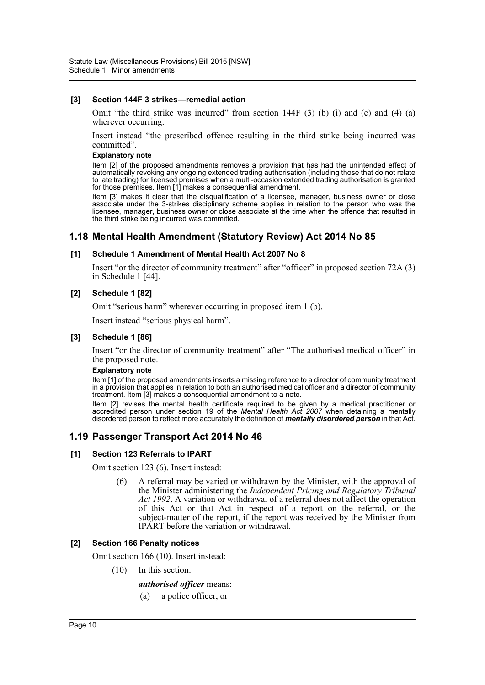#### **[3] Section 144F 3 strikes—remedial action**

Omit "the third strike was incurred" from section  $144F(3)$  (b) (i) and (c) and (4) (a) wherever occurring.

Insert instead "the prescribed offence resulting in the third strike being incurred was committed".

#### **Explanatory note**

Item [2] of the proposed amendments removes a provision that has had the unintended effect of automatically revoking any ongoing extended trading authorisation (including those that do not relate to late trading) for licensed premises when a multi-occasion extended trading authorisation is granted for those premises. Item [1] makes a consequential amendment.

Item [3] makes it clear that the disqualification of a licensee, manager, business owner or close associate under the 3-strikes disciplinary scheme applies in relation to the person who was the licensee, manager, business owner or close associate at the time when the offence that resulted in the third strike being incurred was committed.

### **1.18 Mental Health Amendment (Statutory Review) Act 2014 No 85**

#### **[1] Schedule 1 Amendment of Mental Health Act 2007 No 8**

Insert "or the director of community treatment" after "officer" in proposed section 72A (3) in Schedule 1 [44].

#### **[2] Schedule 1 [82]**

Omit "serious harm" wherever occurring in proposed item 1 (b).

Insert instead "serious physical harm".

#### **[3] Schedule 1 [86]**

Insert "or the director of community treatment" after "The authorised medical officer" in the proposed note.

#### **Explanatory note**

Item [1] of the proposed amendments inserts a missing reference to a director of community treatment in a provision that applies in relation to both an authorised medical officer and a director of community treatment. Item [3] makes a consequential amendment to a note.

Item [2] revises the mental health certificate required to be given by a medical practitioner or accredited person under section 19 of the *Mental Health Act 2007* when detaining a mentally disordered person to reflect more accurately the definition of *mentally disordered person* in that Act.

### **1.19 Passenger Transport Act 2014 No 46**

### **[1] Section 123 Referrals to IPART**

Omit section 123 (6). Insert instead:

(6) A referral may be varied or withdrawn by the Minister, with the approval of the Minister administering the *Independent Pricing and Regulatory Tribunal Act 1992*. A variation or withdrawal of a referral does not affect the operation of this Act or that Act in respect of a report on the referral, or the subject-matter of the report, if the report was received by the Minister from IPART before the variation or withdrawal.

#### **[2] Section 166 Penalty notices**

Omit section 166 (10). Insert instead:

(10) In this section:

#### *authorised officer* means:

(a) a police officer, or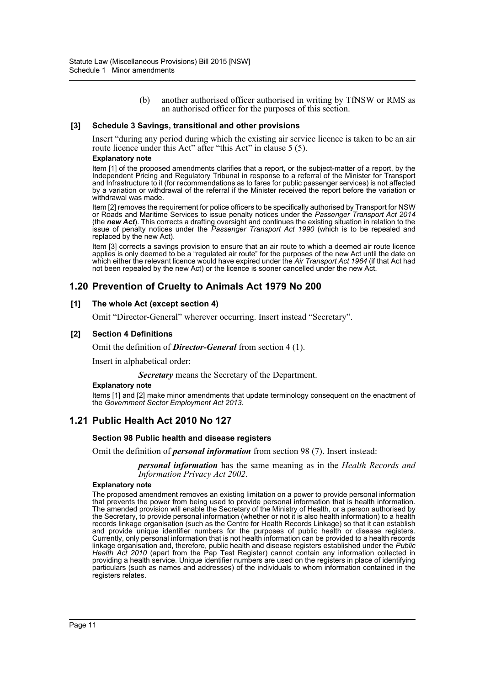(b) another authorised officer authorised in writing by TfNSW or RMS as an authorised officer for the purposes of this section.

#### **[3] Schedule 3 Savings, transitional and other provisions**

Insert "during any period during which the existing air service licence is taken to be an air route licence under this Act" after "this Act" in clause 5 (5).

#### **Explanatory note**

Item [1] of the proposed amendments clarifies that a report, or the subject-matter of a report, by the Independent Pricing and Regulatory Tribunal in response to a referral of the Minister for Transport and Infrastructure to it (for recommendations as to fares for public passenger services) is not affected by a variation or withdrawal of the referral if the Minister received the report before the variation or withdrawal was made.

Item [2] removes the requirement for police officers to be specifically authorised by Transport for NSW or Roads and Maritime Services to issue penalty notices under the *Passenger Transport Act 2014* (the *new Act*). This corrects a drafting oversight and continues the existing situation in relation to the issue of penalty notices under the *Passenger Transport Act 1990* (which is to be repealed and replaced by the new Act).

Item [3] corrects a savings provision to ensure that an air route to which a deemed air route licence applies is only deemed to be a "regulated air route" for the purposes of the new Act until the date on which either the relevant licence would have expired under the *Air Transport Act 1964* (if that Act had not been repealed by the new Act) or the licence is sooner cancelled under the new Act.

### **1.20 Prevention of Cruelty to Animals Act 1979 No 200**

#### **[1] The whole Act (except section 4)**

Omit "Director-General" wherever occurring. Insert instead "Secretary".

#### **[2] Section 4 Definitions**

Omit the definition of *Director-General* from section 4 (1).

Insert in alphabetical order:

*Secretary* means the Secretary of the Department.

#### **Explanatory note**

Items [1] and [2] make minor amendments that update terminology consequent on the enactment of the *Government Sector Employment Act 2013*.

### **1.21 Public Health Act 2010 No 127**

#### **Section 98 Public health and disease registers**

Omit the definition of *personal information* from section 98 (7). Insert instead:

*personal information* has the same meaning as in the *Health Records and Information Privacy Act 2002*.

#### **Explanatory note**

The proposed amendment removes an existing limitation on a power to provide personal information that prevents the power from being used to provide personal information that is health information. The amended provision will enable the Secretary of the Ministry of Health, or a person authorised by the Secretary, to provide personal information (whether or not it is also health information) to a health records linkage organisation (such as the Centre for Health Records Linkage) so that it can establish and provide unique identifier numbers for the purposes of public health or disease registers. Currently, only personal information that is not health information can be provided to a health records linkage organisation and, therefore, public health and disease registers established under the *Public Health Act 2010* (apart from the Pap Test Register) cannot contain any information collected in providing a health service. Unique identifier numbers are used on the registers in place of identifying particulars (such as names and addresses) of the individuals to whom information contained in the registers relates.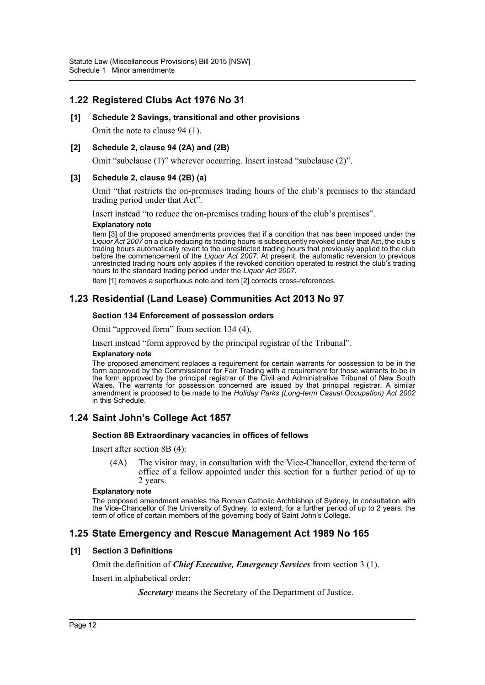# **1.22 Registered Clubs Act 1976 No 31**

### **[1] Schedule 2 Savings, transitional and other provisions**

Omit the note to clause 94 (1).

### **[2] Schedule 2, clause 94 (2A) and (2B)**

Omit "subclause (1)" wherever occurring. Insert instead "subclause (2)".

### **[3] Schedule 2, clause 94 (2B) (a)**

Omit "that restricts the on-premises trading hours of the club's premises to the standard trading period under that Act".

Insert instead "to reduce the on-premises trading hours of the club's premises".

#### **Explanatory note**

Item [3] of the proposed amendments provides that if a condition that has been imposed under the *Liquor Act 2007* on a club reducing its trading hours is subsequently revoked under that Act, the club's trading hours automatically revert to the unrestricted trading hours that previously applied to the club before the commencement of the *Liquor Act 2007*. At present, the automatic reversion to previous unrestricted trading hours only applies if the revoked condition operated to restrict the club's trading hours to the standard trading period under the *Liquor Act 2007*.

Item [1] removes a superfluous note and item [2] corrects cross-references.

# **1.23 Residential (Land Lease) Communities Act 2013 No 97**

### **Section 134 Enforcement of possession orders**

Omit "approved form" from section 134 (4).

Insert instead "form approved by the principal registrar of the Tribunal".

#### **Explanatory note**

The proposed amendment replaces a requirement for certain warrants for possession to be in the form approved by the Commissioner for Fair Trading with a requirement for those warrants to be in the form approved by the principal registrar of the Civil and Administrative Tribunal of New South Wales. The warrants for possession concerned are issued by that principal registrar. A similar amendment is proposed to be made to the *Holiday Parks (Long-term Casual Occupation) Act 2002* in this Schedule.

# **1.24 Saint John's College Act 1857**

#### **Section 8B Extraordinary vacancies in offices of fellows**

Insert after section 8B (4):

(4A) The visitor may, in consultation with the Vice-Chancellor, extend the term of office of a fellow appointed under this section for a further period of up to 2 years.

#### **Explanatory note**

The proposed amendment enables the Roman Catholic Archbishop of Sydney, in consultation with the Vice-Chancellor of the University of Sydney, to extend, for a further period of up to 2 years, the term of office of certain members of the governing body of Saint John's College.

### **1.25 State Emergency and Rescue Management Act 1989 No 165**

### **[1] Section 3 Definitions**

Omit the definition of *Chief Executive, Emergency Services* from section 3 (1).

Insert in alphabetical order:

*Secretary* means the Secretary of the Department of Justice.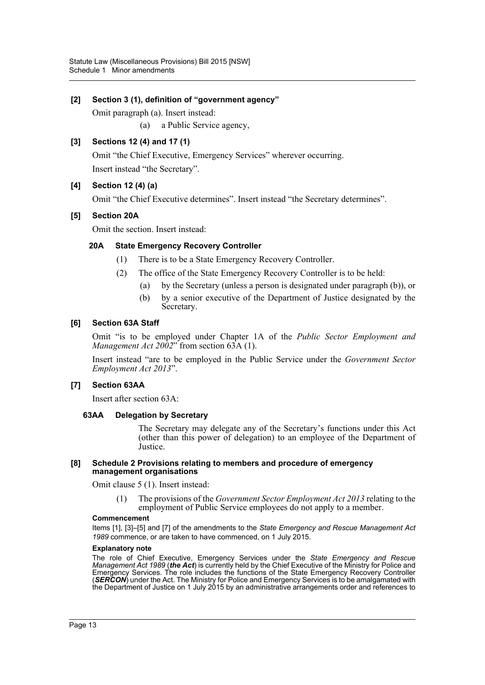### **[2] Section 3 (1), definition of "government agency"**

Omit paragraph (a). Insert instead:

(a) a Public Service agency,

### **[3] Sections 12 (4) and 17 (1)**

Omit "the Chief Executive, Emergency Services" wherever occurring. Insert instead "the Secretary".

### **[4] Section 12 (4) (a)**

Omit "the Chief Executive determines". Insert instead "the Secretary determines".

### **[5] Section 20A**

Omit the section. Insert instead:

### **20A State Emergency Recovery Controller**

- (1) There is to be a State Emergency Recovery Controller.
- (2) The office of the State Emergency Recovery Controller is to be held:
	- (a) by the Secretary (unless a person is designated under paragraph (b)), or
	- (b) by a senior executive of the Department of Justice designated by the Secretary.

### **[6] Section 63A Staff**

Omit "is to be employed under Chapter 1A of the *Public Sector Employment and Management Act 2002*" from section 63A (1).

Insert instead "are to be employed in the Public Service under the *Government Sector Employment Act 2013*".

### **[7] Section 63AA**

Insert after section 63A:

### **63AA Delegation by Secretary**

The Secretary may delegate any of the Secretary's functions under this Act (other than this power of delegation) to an employee of the Department of Justice.

#### **[8] Schedule 2 Provisions relating to members and procedure of emergency management organisations**

Omit clause 5 (1). Insert instead:

(1) The provisions of the *Government Sector Employment Act 2013* relating to the employment of Public Service employees do not apply to a member.

#### **Commencement**

Items [1], [3]–[5] and [7] of the amendments to the *State Emergency and Rescue Management Act 1989* commence, or are taken to have commenced, on 1 July 2015.

#### **Explanatory note**

The role of Chief Executive, Emergency Services under the *State Emergency and Rescue Management Act 1989* (*the Act*) is currently held by the Chief Executive of the Ministry for Police and Emergency Services. The role includes the functions of the State Emergency Recovery Controller (*SERCON*) under the Act. The Ministry for Police and Emergency Services is to be amalgamated with the Department of Justice on 1 July 2015 by an administrative arrangements order and references to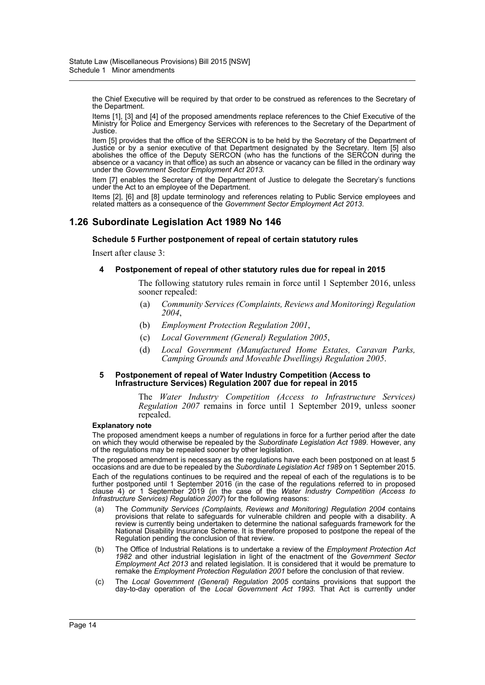the Chief Executive will be required by that order to be construed as references to the Secretary of the Department.

Items [1], [3] and [4] of the proposed amendments replace references to the Chief Executive of the Ministry for Police and Emergency Services with references to the Secretary of the Department of Justice.

Item [5] provides that the office of the SERCON is to be held by the Secretary of the Department of Justice or by a senior executive of that Department designated by the Secretary. Item [5] also abolishes the office of the Deputy SERCON (who has the functions of the SERCON during the absence or a vacancy in that office) as such an absence or vacancy can be filled in the ordinary way under the *Government Sector Employment Act 2013*.

Item [7] enables the Secretary of the Department of Justice to delegate the Secretary's functions under the Act to an employee of the Department.

Items [2], [6] and [8] update terminology and references relating to Public Service employees and related matters as a consequence of the *Government Sector Employment Act 2013*.

# **1.26 Subordinate Legislation Act 1989 No 146**

#### **Schedule 5 Further postponement of repeal of certain statutory rules**

Insert after clause 3:

#### **4 Postponement of repeal of other statutory rules due for repeal in 2015**

The following statutory rules remain in force until 1 September 2016, unless sooner repealed:

- (a) *Community Services (Complaints, Reviews and Monitoring) Regulation 2004*,
- (b) *Employment Protection Regulation 2001*,
- (c) *Local Government (General) Regulation 2005*,
- (d) *Local Government (Manufactured Home Estates, Caravan Parks, Camping Grounds and Moveable Dwellings) Regulation 2005*.

#### **5 Postponement of repeal of Water Industry Competition (Access to Infrastructure Services) Regulation 2007 due for repeal in 2015**

The *Water Industry Competition (Access to Infrastructure Services) Regulation 2007* remains in force until 1 September 2019, unless sooner repealed.

#### **Explanatory note**

The proposed amendment keeps a number of regulations in force for a further period after the date on which they would otherwise be repealed by the *Subordinate Legislation Act 1989*. However, any of the regulations may be repealed sooner by other legislation.

The proposed amendment is necessary as the regulations have each been postponed on at least 5 occasions and are due to be repealed by the *Subordinate Legislation Act 1989* on 1 September 2015.

Each of the regulations continues to be required and the repeal of each of the regulations is to be further postponed until 1 September 2016 (in the case of the regulations referred to in proposed clause 4) or 1 September 2019 (in the case of the *Water Industry Competition (Access to Infrastructure Services) Regulation 2007*) for the following reasons:

- (a) The *Community Services (Complaints, Reviews and Monitoring) Regulation 2004* contains provisions that relate to safeguards for vulnerable children and people with a disability. A review is currently being undertaken to determine the national safeguards framework for the National Disability Insurance Scheme. It is therefore proposed to postpone the repeal of the Regulation pending the conclusion of that review.
- (b) The Office of Industrial Relations is to undertake a review of the *Employment Protection Act 1982* and other industrial legislation in light of the enactment of the *Government Sector Employment Act 2013* and related legislation. It is considered that it would be premature to remake the *Employment Protection Regulation 2001* before the conclusion of that review.
- (c) The *Local Government (General) Regulation 2005* contains provisions that support the day-to-day operation of the *Local Government Act 1993*. That Act is currently under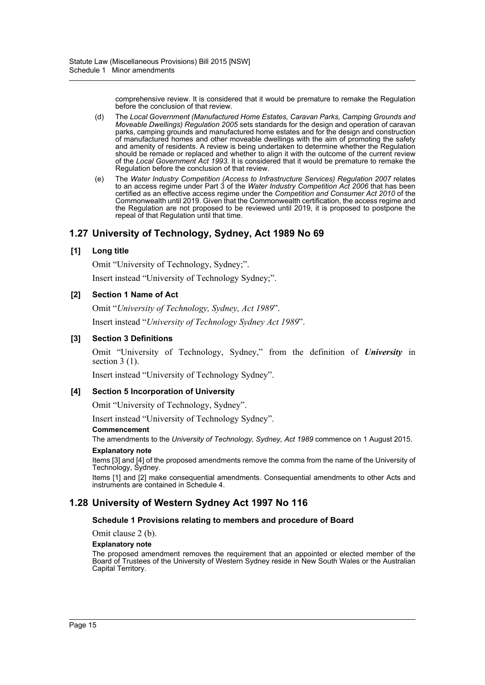comprehensive review. It is considered that it would be premature to remake the Regulation before the conclusion of that review.

- (d) The *Local Government (Manufactured Home Estates, Caravan Parks, Camping Grounds and Moveable Dwellings) Regulation 2005* sets standards for the design and operation of caravan parks, camping grounds and manufactured home estates and for the design and construction of manufactured homes and other moveable dwellings with the aim of promoting the safety and amenity of residents. A review is being undertaken to determine whether the Regulation should be remade or replaced and whether to align it with the outcome of the current review of the *Local Government Act 1993*. It is considered that it would be premature to remake the Regulation before the conclusion of that review.
- (e) The *Water Industry Competition (Access to Infrastructure Services) Regulation 2007* relates to an access regime under Part 3 of the *Water Industry Competition Act 2006* that has been certified as an effective access regime under the *Competition and Consumer Act 2010* of the Commonwealth until 2019. Given that the Commonwealth certification, the access regime and the Regulation are not proposed to be reviewed until 2019, it is proposed to postpone the repeal of that Regulation until that time.

# **1.27 University of Technology, Sydney, Act 1989 No 69**

### **[1] Long title**

Omit "University of Technology, Sydney;".

Insert instead "University of Technology Sydney;".

### **[2] Section 1 Name of Act**

Omit "*University of Technology, Sydney, Act 1989*". Insert instead "*University of Technology Sydney Act 1989*".

### **[3] Section 3 Definitions**

Omit "University of Technology, Sydney," from the definition of *University* in section  $3(1)$ .

Insert instead "University of Technology Sydney".

### **[4] Section 5 Incorporation of University**

Omit "University of Technology, Sydney".

Insert instead "University of Technology Sydney".

#### **Commencement**

The amendments to the *University of Technology, Sydney, Act 1989* commence on 1 August 2015.

### **Explanatory note**

Items [3] and [4] of the proposed amendments remove the comma from the name of the University of Technology, Sydney.

Items [1] and [2] make consequential amendments. Consequential amendments to other Acts and instruments are contained in Schedule 4.

# **1.28 University of Western Sydney Act 1997 No 116**

### **Schedule 1 Provisions relating to members and procedure of Board**

Omit clause 2 (b).

#### **Explanatory note**

The proposed amendment removes the requirement that an appointed or elected member of the Board of Trustees of the University of Western Sydney reside in New South Wales or the Australian Capital Territory.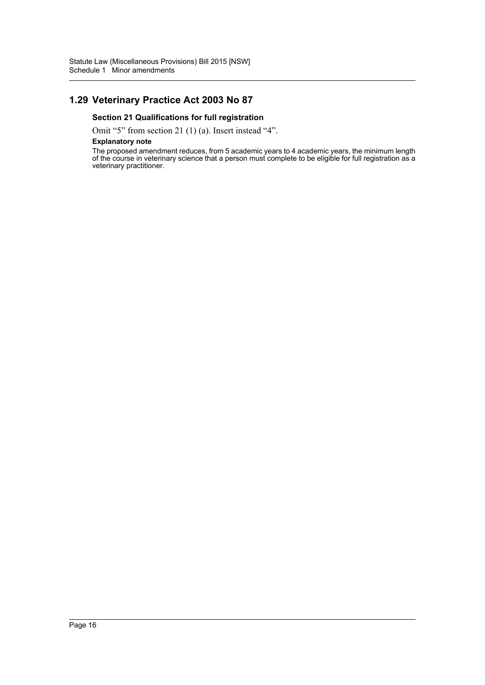# **1.29 Veterinary Practice Act 2003 No 87**

### **Section 21 Qualifications for full registration**

Omit "5" from section 21 (1) (a). Insert instead "4".

#### **Explanatory note**

The proposed amendment reduces, from 5 academic years to 4 academic years, the minimum length of the course in veterinary science that a person must complete to be eligible for full registration as a veterinary practitioner.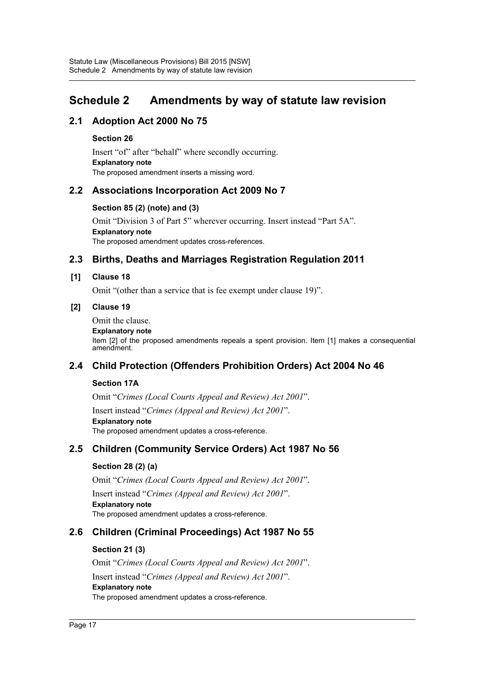# <span id="page-17-0"></span>**Schedule 2 Amendments by way of statute law revision**

# **2.1 Adoption Act 2000 No 75**

### **Section 26**

Insert "of" after "behalf" where secondly occurring. **Explanatory note** The proposed amendment inserts a missing word.

# **2.2 Associations Incorporation Act 2009 No 7**

### **Section 85 (2) (note) and (3)**

Omit "Division 3 of Part 5" wherever occurring. Insert instead "Part 5A". **Explanatory note** The proposed amendment updates cross-references.

# **2.3 Births, Deaths and Marriages Registration Regulation 2011**

### **[1] Clause 18**

Omit "(other than a service that is fee exempt under clause 19)".

### **[2] Clause 19**

Omit the clause.

#### **Explanatory note**

Item [2] of the proposed amendments repeals a spent provision. Item [1] makes a consequential amendment.

# **2.4 Child Protection (Offenders Prohibition Orders) Act 2004 No 46**

### **Section 17A**

Omit "*Crimes (Local Courts Appeal and Review) Act 2001*".

Insert instead "*Crimes (Appeal and Review) Act 2001*". **Explanatory note** The proposed amendment updates a cross-reference.

# **2.5 Children (Community Service Orders) Act 1987 No 56**

### **Section 28 (2) (a)**

Omit "*Crimes (Local Courts Appeal and Review) Act 2001*". Insert instead "*Crimes (Appeal and Review) Act 2001*". **Explanatory note** The proposed amendment updates a cross-reference.

# **2.6 Children (Criminal Proceedings) Act 1987 No 55**

### **Section 21 (3)**

Omit "*Crimes (Local Courts Appeal and Review) Act 2001*". Insert instead "*Crimes (Appeal and Review) Act 2001*". **Explanatory note** The proposed amendment updates a cross-reference.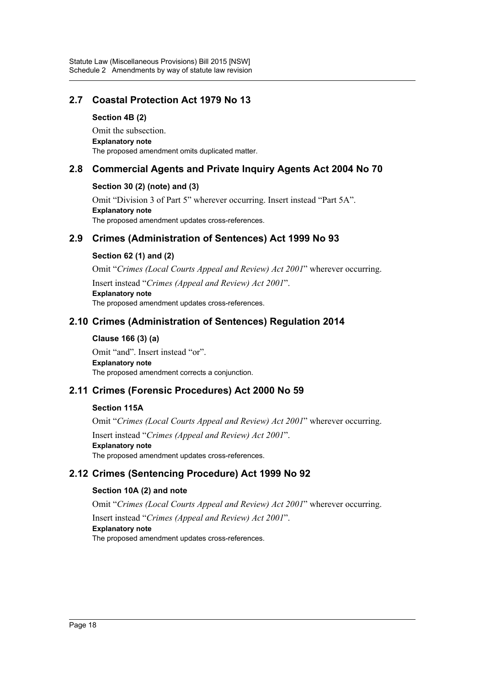# **2.7 Coastal Protection Act 1979 No 13**

### **Section 4B (2)**

Omit the subsection. **Explanatory note** The proposed amendment omits duplicated matter.

### **2.8 Commercial Agents and Private Inquiry Agents Act 2004 No 70**

### **Section 30 (2) (note) and (3)**

Omit "Division 3 of Part 5" wherever occurring. Insert instead "Part 5A". **Explanatory note** The proposed amendment updates cross-references.

# **2.9 Crimes (Administration of Sentences) Act 1999 No 93**

### **Section 62 (1) and (2)**

Omit "*Crimes (Local Courts Appeal and Review) Act 2001*" wherever occurring.

Insert instead "*Crimes (Appeal and Review) Act 2001*". **Explanatory note** The proposed amendment updates cross-references.

# **2.10 Crimes (Administration of Sentences) Regulation 2014**

### **Clause 166 (3) (a)**

Omit "and". Insert instead "or". **Explanatory note** The proposed amendment corrects a conjunction.

# **2.11 Crimes (Forensic Procedures) Act 2000 No 59**

### **Section 115A**

Omit "*Crimes (Local Courts Appeal and Review) Act 2001*" wherever occurring.

Insert instead "*Crimes (Appeal and Review) Act 2001*". **Explanatory note** The proposed amendment updates cross-references.

# **2.12 Crimes (Sentencing Procedure) Act 1999 No 92**

### **Section 10A (2) and note**

Omit "*Crimes (Local Courts Appeal and Review) Act 2001*" wherever occurring. Insert instead "*Crimes (Appeal and Review) Act 2001*". **Explanatory note** The proposed amendment updates cross-references.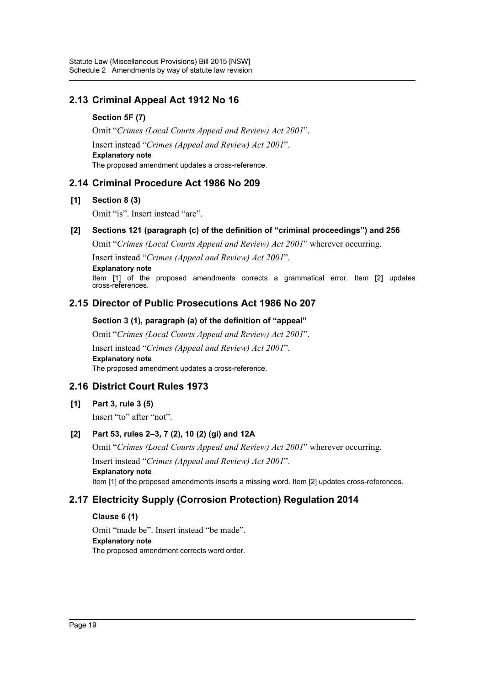# **2.13 Criminal Appeal Act 1912 No 16**

### **Section 5F (7)**

Omit "*Crimes (Local Courts Appeal and Review) Act 2001*". Insert instead "*Crimes (Appeal and Review) Act 2001*". **Explanatory note** The proposed amendment updates a cross-reference.

# **2.14 Criminal Procedure Act 1986 No 209**

### **[1] Section 8 (3)**

Omit "is". Insert instead "are".

### **[2] Sections 121 (paragraph (c) of the definition of "criminal proceedings") and 256**

Omit "*Crimes (Local Courts Appeal and Review) Act 2001*" wherever occurring.

Insert instead "*Crimes (Appeal and Review) Act 2001*".

**Explanatory note**

Item [1] of the proposed amendments corrects a grammatical error. Item [2] updates cross-references.

# **2.15 Director of Public Prosecutions Act 1986 No 207**

### **Section 3 (1), paragraph (a) of the definition of "appeal"**

Omit "*Crimes (Local Courts Appeal and Review) Act 2001*". Insert instead "*Crimes (Appeal and Review) Act 2001*". **Explanatory note** The proposed amendment updates a cross-reference.

# **2.16 District Court Rules 1973**

### **[1] Part 3, rule 3 (5)**

Insert "to" after "not".

# **[2] Part 53, rules 2–3, 7 (2), 10 (2) (gi) and 12A**

Omit "*Crimes (Local Courts Appeal and Review) Act 2001*" wherever occurring.

Insert instead "*Crimes (Appeal and Review) Act 2001*". **Explanatory note** Item [1] of the proposed amendments inserts a missing word. Item [2] updates cross-references.

# **2.17 Electricity Supply (Corrosion Protection) Regulation 2014**

### **Clause 6 (1)**

Omit "made be". Insert instead "be made". **Explanatory note** The proposed amendment corrects word order.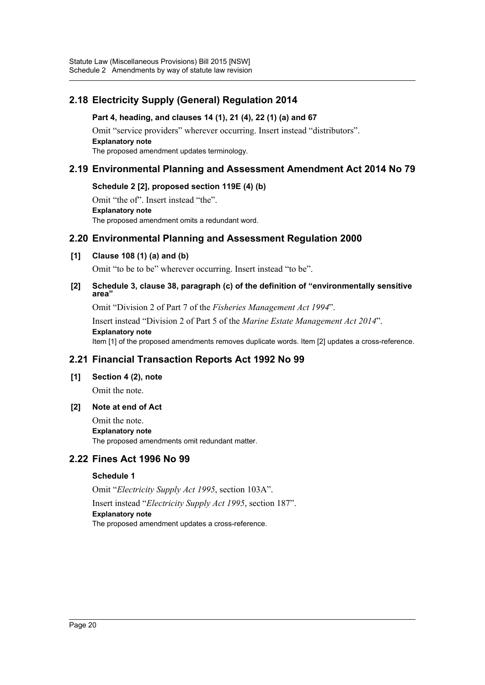# **2.18 Electricity Supply (General) Regulation 2014**

### **Part 4, heading, and clauses 14 (1), 21 (4), 22 (1) (a) and 67**

Omit "service providers" wherever occurring. Insert instead "distributors". **Explanatory note** The proposed amendment updates terminology.

### **2.19 Environmental Planning and Assessment Amendment Act 2014 No 79**

### **Schedule 2 [2], proposed section 119E (4) (b)**

Omit "the of". Insert instead "the". **Explanatory note** The proposed amendment omits a redundant word.

# **2.20 Environmental Planning and Assessment Regulation 2000**

### **[1] Clause 108 (1) (a) and (b)**

Omit "to be to be" wherever occurring. Insert instead "to be".

#### **[2] Schedule 3, clause 38, paragraph (c) of the definition of "environmentally sensitive area"**

Omit "Division 2 of Part 7 of the *Fisheries Management Act 1994*".

Insert instead "Division 2 of Part 5 of the *Marine Estate Management Act 2014*". **Explanatory note** Item [1] of the proposed amendments removes duplicate words. Item [2] updates a cross-reference.

# **2.21 Financial Transaction Reports Act 1992 No 99**

### **[1] Section 4 (2), note**

Omit the note.

### **[2] Note at end of Act**

Omit the note. **Explanatory note** The proposed amendments omit redundant matter.

# **2.22 Fines Act 1996 No 99**

### **Schedule 1**

Omit "*Electricity Supply Act 1995*, section 103A". Insert instead "*Electricity Supply Act 1995*, section 187". **Explanatory note** The proposed amendment updates a cross-reference.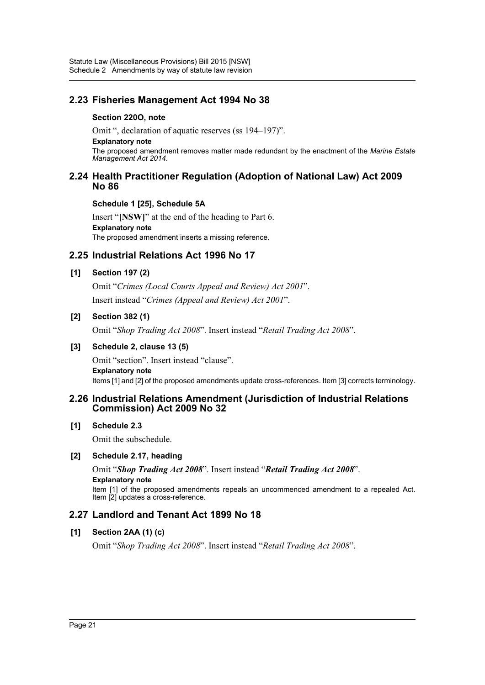# **2.23 Fisheries Management Act 1994 No 38**

### **Section 220O, note**

Omit ", declaration of aquatic reserves (ss 194–197)".

#### **Explanatory note**

The proposed amendment removes matter made redundant by the enactment of the *Marine Estate Management Act 2014*.

### **2.24 Health Practitioner Regulation (Adoption of National Law) Act 2009 No 86**

### **Schedule 1 [25], Schedule 5A**

Insert "**[NSW]**" at the end of the heading to Part 6. **Explanatory note** The proposed amendment inserts a missing reference.

# **2.25 Industrial Relations Act 1996 No 17**

### **[1] Section 197 (2)**

Omit "*Crimes (Local Courts Appeal and Review) Act 2001*". Insert instead "*Crimes (Appeal and Review) Act 2001*".

### **[2] Section 382 (1)**

Omit "*Shop Trading Act 2008*". Insert instead "*Retail Trading Act 2008*".

### **[3] Schedule 2, clause 13 (5)**

Omit "section". Insert instead "clause". **Explanatory note** Items [1] and [2] of the proposed amendments update cross-references. Item [3] corrects terminology.

### **2.26 Industrial Relations Amendment (Jurisdiction of Industrial Relations Commission) Act 2009 No 32**

### **[1] Schedule 2.3**

Omit the subschedule.

### **[2] Schedule 2.17, heading**

Omit "*Shop Trading Act 2008*". Insert instead "*Retail Trading Act 2008*". **Explanatory note** Item [1] of the proposed amendments repeals an uncommenced amendment to a repealed Act. Item [2] updates a cross-reference.

# **2.27 Landlord and Tenant Act 1899 No 18**

### **[1] Section 2AA (1) (c)**

Omit "*Shop Trading Act 2008*". Insert instead "*Retail Trading Act 2008*".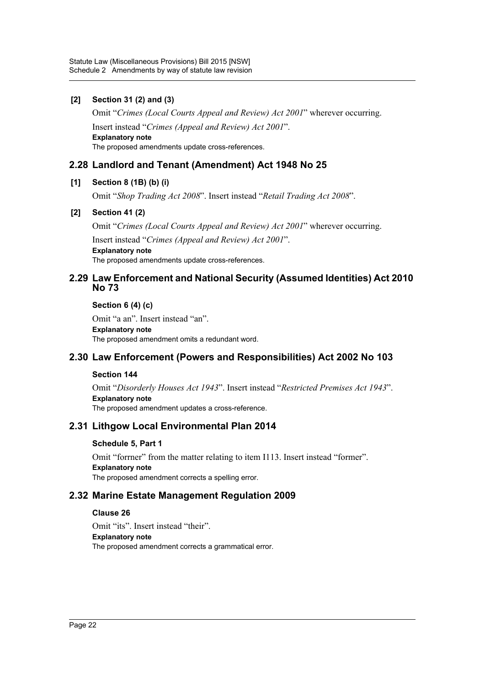### **[2] Section 31 (2) and (3)**

Omit "*Crimes (Local Courts Appeal and Review) Act 2001*" wherever occurring. Insert instead "*Crimes (Appeal and Review) Act 2001*". **Explanatory note** The proposed amendments update cross-references.

# **2.28 Landlord and Tenant (Amendment) Act 1948 No 25**

### **[1] Section 8 (1B) (b) (i)**

Omit "*Shop Trading Act 2008*". Insert instead "*Retail Trading Act 2008*".

### **[2] Section 41 (2)**

Omit "*Crimes (Local Courts Appeal and Review) Act 2001*" wherever occurring. Insert instead "*Crimes (Appeal and Review) Act 2001*". **Explanatory note** The proposed amendments update cross-references.

### **2.29 Law Enforcement and National Security (Assumed Identities) Act 2010 No 73**

**Section 6 (4) (c)**

Omit "a an". Insert instead "an". **Explanatory note** The proposed amendment omits a redundant word.

# **2.30 Law Enforcement (Powers and Responsibilities) Act 2002 No 103**

### **Section 144**

Omit "*Disorderly Houses Act 1943*". Insert instead "*Restricted Premises Act 1943*". **Explanatory note** The proposed amendment updates a cross-reference.

### **2.31 Lithgow Local Environmental Plan 2014**

### **Schedule 5, Part 1**

Omit "forrner" from the matter relating to item I113. Insert instead "former". **Explanatory note** The proposed amendment corrects a spelling error.

# **2.32 Marine Estate Management Regulation 2009**

### **Clause 26**

Omit "its". Insert instead "their". **Explanatory note** The proposed amendment corrects a grammatical error.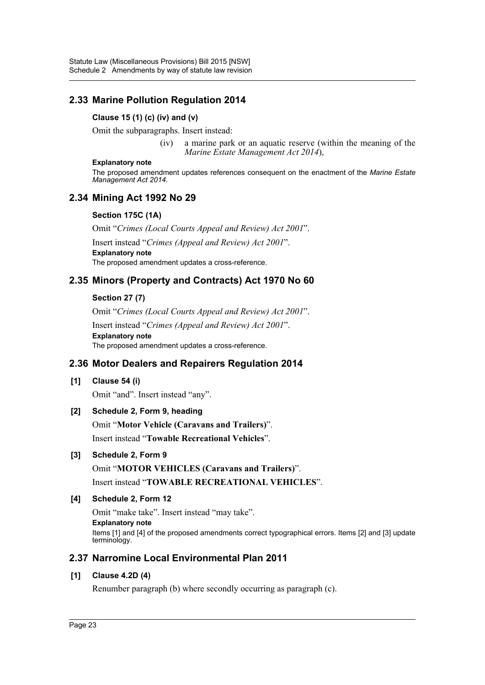# **2.33 Marine Pollution Regulation 2014**

### **Clause 15 (1) (c) (iv) and (v)**

Omit the subparagraphs. Insert instead:

(iv) a marine park or an aquatic reserve (within the meaning of the *Marine Estate Management Act 2014*),

#### **Explanatory note**

The proposed amendment updates references consequent on the enactment of the *Marine Estate Management Act 2014*.

# **2.34 Mining Act 1992 No 29**

### **Section 175C (1A)**

Omit "*Crimes (Local Courts Appeal and Review) Act 2001*".

Insert instead "*Crimes (Appeal and Review) Act 2001*". **Explanatory note**

# The proposed amendment updates a cross-reference.

# **2.35 Minors (Property and Contracts) Act 1970 No 60**

### **Section 27 (7)**

Omit "*Crimes (Local Courts Appeal and Review) Act 2001*".

Insert instead "*Crimes (Appeal and Review) Act 2001*". **Explanatory note** The proposed amendment updates a cross-reference.

# **2.36 Motor Dealers and Repairers Regulation 2014**

### **[1] Clause 54 (i)**

Omit "and". Insert instead "any".

### **[2] Schedule 2, Form 9, heading**

Omit "**Motor Vehicle (Caravans and Trailers)**". Insert instead "**Towable Recreational Vehicles**".

### **[3] Schedule 2, Form 9**

Omit "**MOTOR VEHICLES (Caravans and Trailers)**". Insert instead "**TOWABLE RECREATIONAL VEHICLES**".

### **[4] Schedule 2, Form 12**

Omit "make take". Insert instead "may take". **Explanatory note** Items [1] and [4] of the proposed amendments correct typographical errors. Items [2] and [3] update terminology.

# **2.37 Narromine Local Environmental Plan 2011**

### **[1] Clause 4.2D (4)**

Renumber paragraph (b) where secondly occurring as paragraph (c).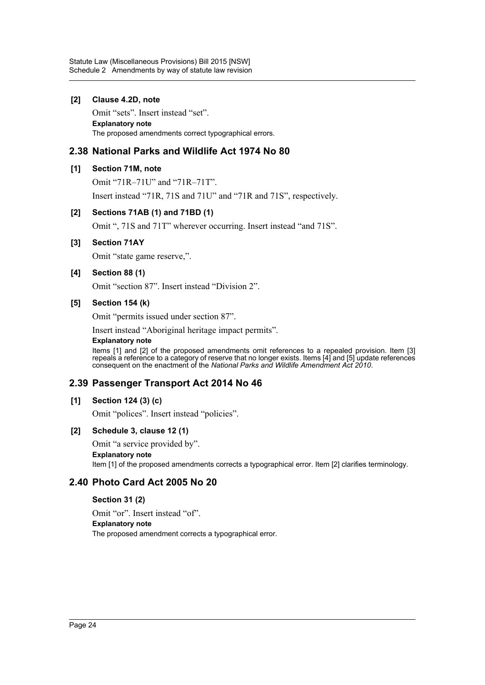### **[2] Clause 4.2D, note**

Omit "sets". Insert instead "set". **Explanatory note** The proposed amendments correct typographical errors.

# **2.38 National Parks and Wildlife Act 1974 No 80**

### **[1] Section 71M, note**

Omit "71R–71U" and "71R–71T".

Insert instead "71R, 71S and 71U" and "71R and 71S", respectively.

### **[2] Sections 71AB (1) and 71BD (1)**

Omit ", 71S and 71T" wherever occurring. Insert instead "and 71S".

### **[3] Section 71AY**

Omit "state game reserve,".

### **[4] Section 88 (1)**

Omit "section 87". Insert instead "Division 2".

### **[5] Section 154 (k)**

Omit "permits issued under section 87".

Insert instead "Aboriginal heritage impact permits".

#### **Explanatory note**

Items [1] and [2] of the proposed amendments omit references to a repealed provision. Item [3] repeals a reference to a category of reserve that no longer exists. Items [4] and [5] update references consequent on the enactment of the *National Parks and Wildlife Amendment Act 2010*.

# **2.39 Passenger Transport Act 2014 No 46**

### **[1] Section 124 (3) (c)**

Omit "polices". Insert instead "policies".

### **[2] Schedule 3, clause 12 (1)**

Omit "a service provided by".

**Explanatory note** Item [1] of the proposed amendments corrects a typographical error. Item [2] clarifies terminology.

# **2.40 Photo Card Act 2005 No 20**

### **Section 31 (2)**

Omit "or". Insert instead "of". **Explanatory note** The proposed amendment corrects a typographical error.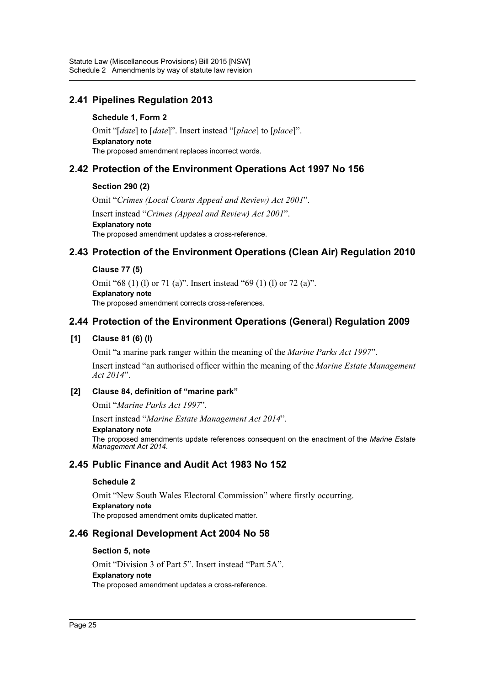# **2.41 Pipelines Regulation 2013**

### **Schedule 1, Form 2**

Omit "[*date*] to [*date*]". Insert instead "[*place*] to [*place*]". **Explanatory note** The proposed amendment replaces incorrect words.

### **2.42 Protection of the Environment Operations Act 1997 No 156**

### **Section 290 (2)**

Omit "*Crimes (Local Courts Appeal and Review) Act 2001*". Insert instead "*Crimes (Appeal and Review) Act 2001*". **Explanatory note** The proposed amendment updates a cross-reference.

# **2.43 Protection of the Environment Operations (Clean Air) Regulation 2010**

### **Clause 77 (5)**

Omit "68 (1) (l) or 71 (a)". Insert instead "69 (1) (l) or 72 (a)". **Explanatory note** The proposed amendment corrects cross-references.

### **2.44 Protection of the Environment Operations (General) Regulation 2009**

### **[1] Clause 81 (6) (l)**

Omit "a marine park ranger within the meaning of the *Marine Parks Act 1997*".

Insert instead "an authorised officer within the meaning of the *Marine Estate Management Act 2014*".

### **[2] Clause 84, definition of "marine park"**

Omit "*Marine Parks Act 1997*".

Insert instead "*Marine Estate Management Act 2014*".

#### **Explanatory note**

The proposed amendments update references consequent on the enactment of the *Marine Estate Management Act 2014*.

# **2.45 Public Finance and Audit Act 1983 No 152**

### **Schedule 2**

Omit "New South Wales Electoral Commission" where firstly occurring. **Explanatory note** The proposed amendment omits duplicated matter.

### **2.46 Regional Development Act 2004 No 58**

### **Section 5, note**

Omit "Division 3 of Part 5". Insert instead "Part 5A". **Explanatory note** The proposed amendment updates a cross-reference.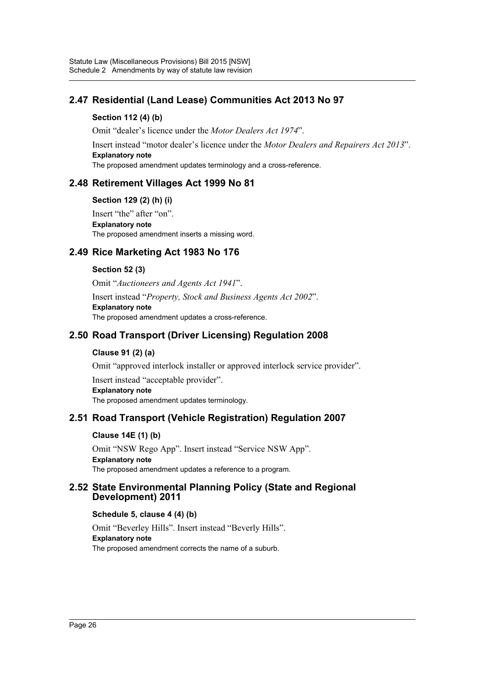# **2.47 Residential (Land Lease) Communities Act 2013 No 97**

### **Section 112 (4) (b)**

Omit "dealer's licence under the *Motor Dealers Act 1974*".

Insert instead "motor dealer's licence under the *Motor Dealers and Repairers Act 2013*". **Explanatory note**

The proposed amendment updates terminology and a cross-reference.

### **2.48 Retirement Villages Act 1999 No 81**

### **Section 129 (2) (h) (i)**

Insert "the" after "on". **Explanatory note** The proposed amendment inserts a missing word.

# **2.49 Rice Marketing Act 1983 No 176**

### **Section 52 (3)**

Omit "*Auctioneers and Agents Act 1941*". Insert instead "*Property, Stock and Business Agents Act 2002*". **Explanatory note** The proposed amendment updates a cross-reference.

# **2.50 Road Transport (Driver Licensing) Regulation 2008**

### **Clause 91 (2) (a)**

Omit "approved interlock installer or approved interlock service provider".

Insert instead "acceptable provider". **Explanatory note** The proposed amendment updates terminology.

# **2.51 Road Transport (Vehicle Registration) Regulation 2007**

### **Clause 14E (1) (b)**

Omit "NSW Rego App". Insert instead "Service NSW App". **Explanatory note** The proposed amendment updates a reference to a program.

### **2.52 State Environmental Planning Policy (State and Regional Development) 2011**

### **Schedule 5, clause 4 (4) (b)**

Omit "Beverley Hills". Insert instead "Beverly Hills". **Explanatory note** The proposed amendment corrects the name of a suburb.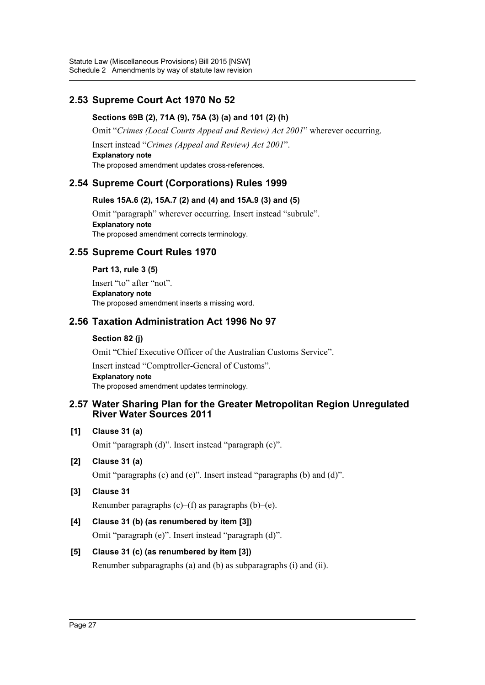# **2.53 Supreme Court Act 1970 No 52**

### **Sections 69B (2), 71A (9), 75A (3) (a) and 101 (2) (h)**

Omit "*Crimes (Local Courts Appeal and Review) Act 2001*" wherever occurring.

Insert instead "*Crimes (Appeal and Review) Act 2001*". **Explanatory note**

The proposed amendment updates cross-references.

# **2.54 Supreme Court (Corporations) Rules 1999**

### **Rules 15A.6 (2), 15A.7 (2) and (4) and 15A.9 (3) and (5)**

Omit "paragraph" wherever occurring. Insert instead "subrule". **Explanatory note** The proposed amendment corrects terminology.

# **2.55 Supreme Court Rules 1970**

### **Part 13, rule 3 (5)**

Insert "to" after "not". **Explanatory note** The proposed amendment inserts a missing word.

# **2.56 Taxation Administration Act 1996 No 97**

### **Section 82 (j)**

Omit "Chief Executive Officer of the Australian Customs Service".

Insert instead "Comptroller-General of Customs". **Explanatory note** The proposed amendment updates terminology.

### **2.57 Water Sharing Plan for the Greater Metropolitan Region Unregulated River Water Sources 2011**

### **[1] Clause 31 (a)**

Omit "paragraph (d)". Insert instead "paragraph (c)".

### **[2] Clause 31 (a)**

Omit "paragraphs (c) and (e)". Insert instead "paragraphs (b) and (d)".

# **[3] Clause 31**

Renumber paragraphs  $(c)$ – $(f)$  as paragraphs  $(b)$ – $(e)$ .

# **[4] Clause 31 (b) (as renumbered by item [3])**

Omit "paragraph (e)". Insert instead "paragraph (d)".

# **[5] Clause 31 (c) (as renumbered by item [3])**

Renumber subparagraphs (a) and (b) as subparagraphs (i) and (ii).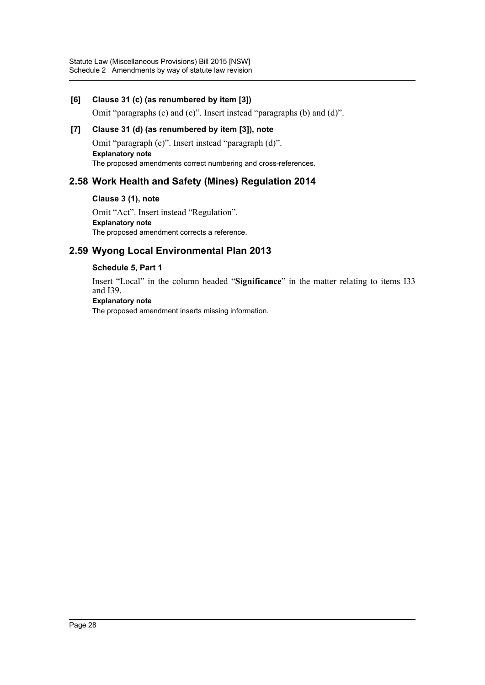### **[6] Clause 31 (c) (as renumbered by item [3])**

Omit "paragraphs (c) and (e)". Insert instead "paragraphs (b) and (d)".

### **[7] Clause 31 (d) (as renumbered by item [3]), note**

Omit "paragraph (e)". Insert instead "paragraph (d)". **Explanatory note** The proposed amendments correct numbering and cross-references.

# **2.58 Work Health and Safety (Mines) Regulation 2014**

**Clause 3 (1), note**

Omit "Act". Insert instead "Regulation". **Explanatory note** The proposed amendment corrects a reference.

# **2.59 Wyong Local Environmental Plan 2013**

### **Schedule 5, Part 1**

Insert "Local" in the column headed "**Significance**" in the matter relating to items I33 and I39.

#### **Explanatory note**

The proposed amendment inserts missing information.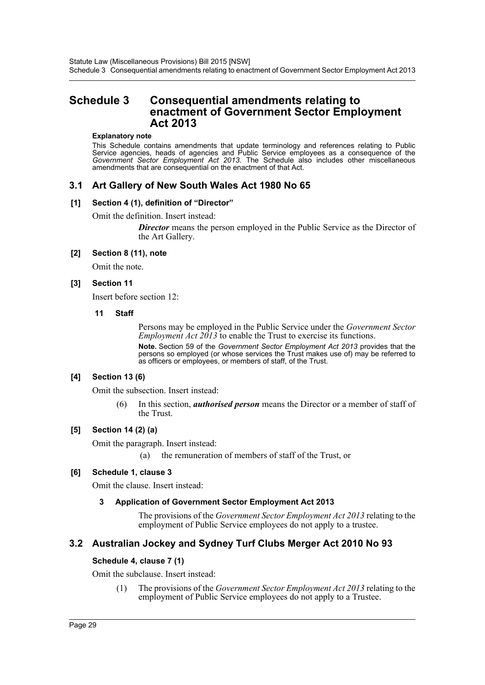# <span id="page-29-0"></span>**Schedule 3 Consequential amendments relating to enactment of Government Sector Employment Act 2013**

#### **Explanatory note**

This Schedule contains amendments that update terminology and references relating to Public Service agencies, heads of agencies and Public Service employees as a consequence of the *Government Sector Employment Act 2013*. The Schedule also includes other miscellaneous amendments that are consequential on the enactment of that Act.

### **3.1 Art Gallery of New South Wales Act 1980 No 65**

#### **[1] Section 4 (1), definition of "Director"**

Omit the definition. Insert instead:

**Director** means the person employed in the Public Service as the Director of the Art Gallery.

#### **[2] Section 8 (11), note**

Omit the note.

### **[3] Section 11**

Insert before section 12:

#### **11 Staff**

Persons may be employed in the Public Service under the *Government Sector Employment Act 2013* to enable the Trust to exercise its functions. **Note.** Section 59 of the *Government Sector Employment Act 2013* provides that the persons so employed (or whose services the Trust makes use of) may be referred to as officers or employees, or members of staff, of the Trust.

### **[4] Section 13 (6)**

Omit the subsection. Insert instead:

(6) In this section, *authorised person* means the Director or a member of staff of the Trust.

### **[5] Section 14 (2) (a)**

Omit the paragraph. Insert instead:

(a) the remuneration of members of staff of the Trust, or

### **[6] Schedule 1, clause 3**

Omit the clause. Insert instead:

### **3 Application of Government Sector Employment Act 2013**

The provisions of the *Government Sector Employment Act 2013* relating to the employment of Public Service employees do not apply to a trustee.

### **3.2 Australian Jockey and Sydney Turf Clubs Merger Act 2010 No 93**

### **Schedule 4, clause 7 (1)**

Omit the subclause. Insert instead:

(1) The provisions of the *Government Sector Employment Act 2013* relating to the employment of Public Service employees do not apply to a Trustee.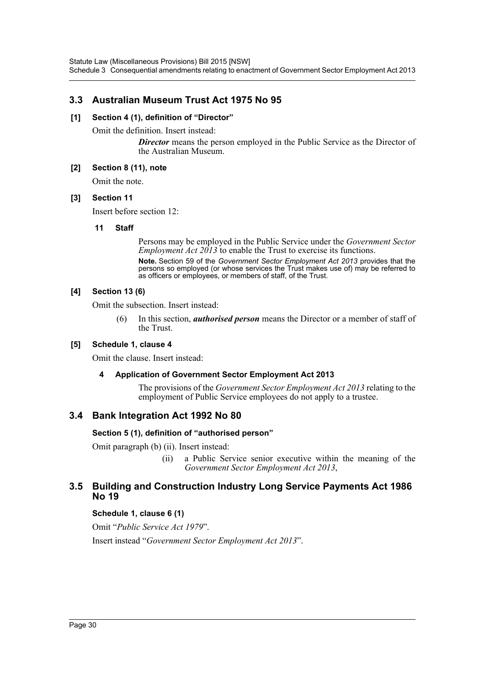# **3.3 Australian Museum Trust Act 1975 No 95**

### **[1] Section 4 (1), definition of "Director"**

Omit the definition. Insert instead:

**Director** means the person employed in the Public Service as the Director of the Australian Museum.

### **[2] Section 8 (11), note**

Omit the note.

### **[3] Section 11**

Insert before section 12:

### **11 Staff**

Persons may be employed in the Public Service under the *Government Sector Employment Act 2013* to enable the Trust to exercise its functions. **Note.** Section 59 of the *Government Sector Employment Act 2013* provides that the persons so employed (or whose services the Trust makes use of) may be referred to as officers or employees, or members of staff, of the Trust.

### **[4] Section 13 (6)**

Omit the subsection. Insert instead:

(6) In this section, *authorised person* means the Director or a member of staff of the Trust.

### **[5] Schedule 1, clause 4**

Omit the clause. Insert instead:

### **4 Application of Government Sector Employment Act 2013**

The provisions of the *Government Sector Employment Act 2013* relating to the employment of Public Service employees do not apply to a trustee.

# **3.4 Bank Integration Act 1992 No 80**

### **Section 5 (1), definition of "authorised person"**

Omit paragraph (b) (ii). Insert instead:

(ii) a Public Service senior executive within the meaning of the *Government Sector Employment Act 2013*,

### **3.5 Building and Construction Industry Long Service Payments Act 1986 No 19**

### **Schedule 1, clause 6 (1)**

Omit "*Public Service Act 1979*". Insert instead "*Government Sector Employment Act 2013*".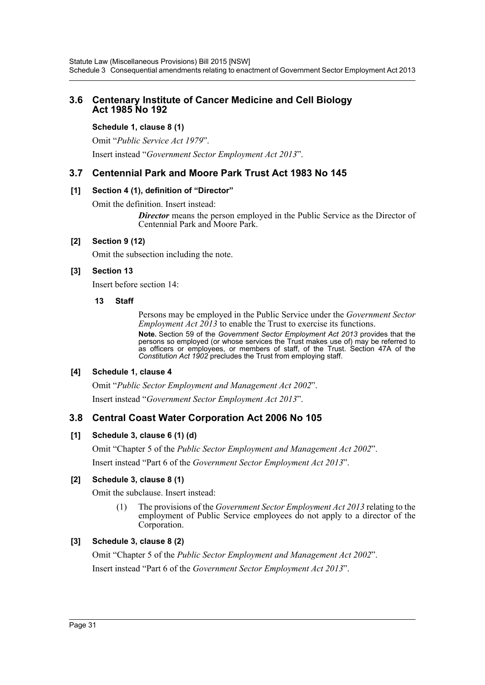### **3.6 Centenary Institute of Cancer Medicine and Cell Biology Act 1985 No 192**

### **Schedule 1, clause 8 (1)**

Omit "*Public Service Act 1979*".

Insert instead "*Government Sector Employment Act 2013*".

### **3.7 Centennial Park and Moore Park Trust Act 1983 No 145**

### **[1] Section 4 (1), definition of "Director"**

Omit the definition. Insert instead:

**Director** means the person employed in the Public Service as the Director of Centennial Park and Moore Park.

### **[2] Section 9 (12)**

Omit the subsection including the note.

### **[3] Section 13**

Insert before section 14:

### **13 Staff**

Persons may be employed in the Public Service under the *Government Sector Employment Act 2013* to enable the Trust to exercise its functions.

**Note.** Section 59 of the *Government Sector Employment Act 2013* provides that the persons so employed (or whose services the Trust makes use of) may be referred to as officers or employees, or members of staff, of the Trust. Section 47A of the *Constitution Act 1902* precludes the Trust from employing staff.

### **[4] Schedule 1, clause 4**

Omit "*Public Sector Employment and Management Act 2002*". Insert instead "*Government Sector Employment Act 2013*".

### **3.8 Central Coast Water Corporation Act 2006 No 105**

### **[1] Schedule 3, clause 6 (1) (d)**

Omit "Chapter 5 of the *Public Sector Employment and Management Act 2002*". Insert instead "Part 6 of the *Government Sector Employment Act 2013*".

### **[2] Schedule 3, clause 8 (1)**

Omit the subclause. Insert instead:

(1) The provisions of the *Government Sector Employment Act 2013* relating to the employment of Public Service employees do not apply to a director of the Corporation.

### **[3] Schedule 3, clause 8 (2)**

Omit "Chapter 5 of the *Public Sector Employment and Management Act 2002*". Insert instead "Part 6 of the *Government Sector Employment Act 2013*".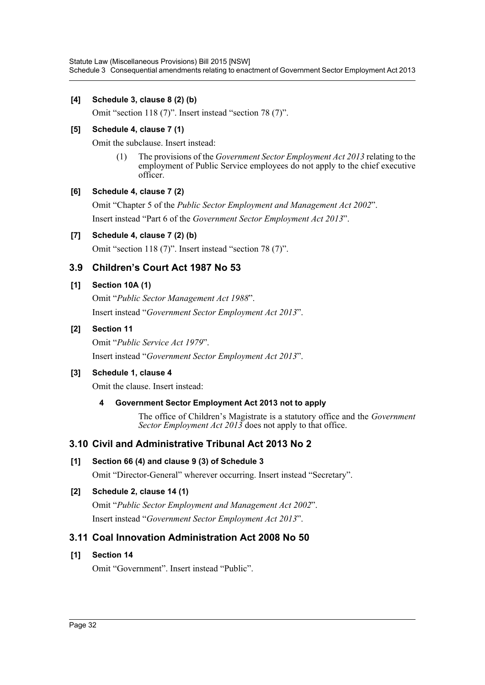Statute Law (Miscellaneous Provisions) Bill 2015 [NSW] Schedule 3 Consequential amendments relating to enactment of Government Sector Employment Act 2013

### **[4] Schedule 3, clause 8 (2) (b)**

Omit "section 118 (7)". Insert instead "section 78 (7)".

### **[5] Schedule 4, clause 7 (1)**

Omit the subclause. Insert instead:

(1) The provisions of the *Government Sector Employment Act 2013* relating to the employment of Public Service employees do not apply to the chief executive officer.

### **[6] Schedule 4, clause 7 (2)**

Omit "Chapter 5 of the *Public Sector Employment and Management Act 2002*". Insert instead "Part 6 of the *Government Sector Employment Act 2013*".

### **[7] Schedule 4, clause 7 (2) (b)**

Omit "section 118 (7)". Insert instead "section 78 (7)".

# **3.9 Children's Court Act 1987 No 53**

### **[1] Section 10A (1)**

Omit "*Public Sector Management Act 1988*". Insert instead "*Government Sector Employment Act 2013*".

### **[2] Section 11**

Omit "*Public Service Act 1979*". Insert instead "*Government Sector Employment Act 2013*".

### **[3] Schedule 1, clause 4**

Omit the clause. Insert instead:

### **4 Government Sector Employment Act 2013 not to apply**

The office of Children's Magistrate is a statutory office and the *Government Sector Employment Act 2013* does not apply to that office.

# **3.10 Civil and Administrative Tribunal Act 2013 No 2**

### **[1] Section 66 (4) and clause 9 (3) of Schedule 3**

Omit "Director-General" wherever occurring. Insert instead "Secretary".

### **[2] Schedule 2, clause 14 (1)**

Omit "*Public Sector Employment and Management Act 2002*". Insert instead "*Government Sector Employment Act 2013*".

### **3.11 Coal Innovation Administration Act 2008 No 50**

### **[1] Section 14**

Omit "Government". Insert instead "Public".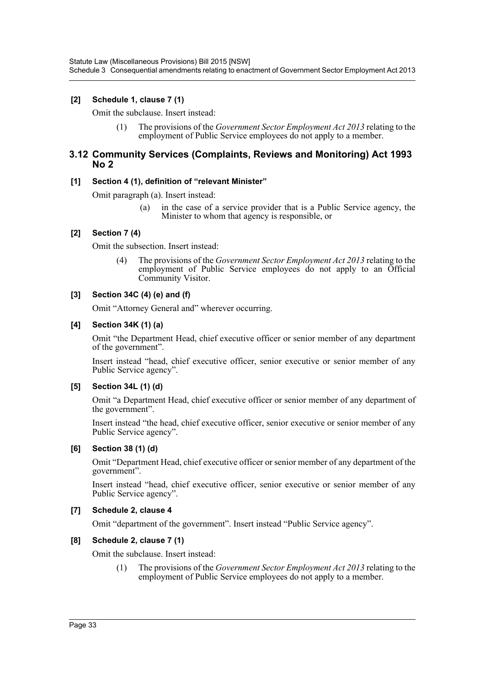### **[2] Schedule 1, clause 7 (1)**

Omit the subclause. Insert instead:

(1) The provisions of the *Government Sector Employment Act 2013* relating to the employment of Public Service employees do not apply to a member.

### **3.12 Community Services (Complaints, Reviews and Monitoring) Act 1993 No 2**

### **[1] Section 4 (1), definition of "relevant Minister"**

Omit paragraph (a). Insert instead:

(a) in the case of a service provider that is a Public Service agency, the Minister to whom that agency is responsible, or

### **[2] Section 7 (4)**

Omit the subsection. Insert instead:

(4) The provisions of the *Government Sector Employment Act 2013* relating to the employment of Public Service employees do not apply to an Official Community Visitor.

### **[3] Section 34C (4) (e) and (f)**

Omit "Attorney General and" wherever occurring.

### **[4] Section 34K (1) (a)**

Omit "the Department Head, chief executive officer or senior member of any department of the government".

Insert instead "head, chief executive officer, senior executive or senior member of any Public Service agency".

### **[5] Section 34L (1) (d)**

Omit "a Department Head, chief executive officer or senior member of any department of the government".

Insert instead "the head, chief executive officer, senior executive or senior member of any Public Service agency".

### **[6] Section 38 (1) (d)**

Omit "Department Head, chief executive officer or senior member of any department of the government".

Insert instead "head, chief executive officer, senior executive or senior member of any Public Service agency".

### **[7] Schedule 2, clause 4**

Omit "department of the government". Insert instead "Public Service agency".

### **[8] Schedule 2, clause 7 (1)**

Omit the subclause. Insert instead:

(1) The provisions of the *Government Sector Employment Act 2013* relating to the employment of Public Service employees do not apply to a member.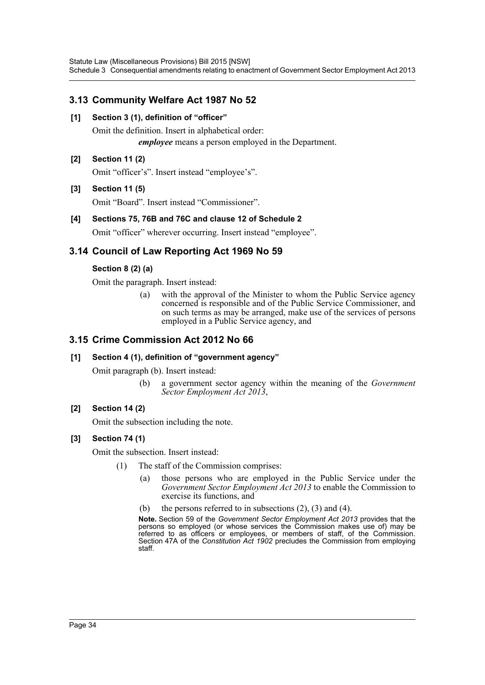Statute Law (Miscellaneous Provisions) Bill 2015 [NSW] Schedule 3 Consequential amendments relating to enactment of Government Sector Employment Act 2013

# **3.13 Community Welfare Act 1987 No 52**

**[1] Section 3 (1), definition of "officer"**

Omit the definition. Insert in alphabetical order: *employee* means a person employed in the Department.

### **[2] Section 11 (2)**

Omit "officer's". Insert instead "employee's".

### **[3] Section 11 (5)**

Omit "Board". Insert instead "Commissioner".

### **[4] Sections 75, 76B and 76C and clause 12 of Schedule 2**

Omit "officer" wherever occurring. Insert instead "employee".

# **3.14 Council of Law Reporting Act 1969 No 59**

### **Section 8 (2) (a)**

Omit the paragraph. Insert instead:

(a) with the approval of the Minister to whom the Public Service agency concerned is responsible and of the Public Service Commissioner, and on such terms as may be arranged, make use of the services of persons employed in a Public Service agency, and

### **3.15 Crime Commission Act 2012 No 66**

### **[1] Section 4 (1), definition of "government agency"**

Omit paragraph (b). Insert instead:

(b) a government sector agency within the meaning of the *Government Sector Employment Act 2013*,

### **[2] Section 14 (2)**

Omit the subsection including the note.

### **[3] Section 74 (1)**

Omit the subsection. Insert instead:

- (1) The staff of the Commission comprises:
	- (a) those persons who are employed in the Public Service under the *Government Sector Employment Act 2013* to enable the Commission to exercise its functions, and
	- (b) the persons referred to in subsections  $(2)$ ,  $(3)$  and  $(4)$ .

**Note.** Section 59 of the *Government Sector Employment Act 2013* provides that the persons so employed (or whose services the Commission makes use of) may be referred to as officers or employees, or members of staff, of the Commission. Section 47A of the *Constitution Act 1902* precludes the Commission from employing staff.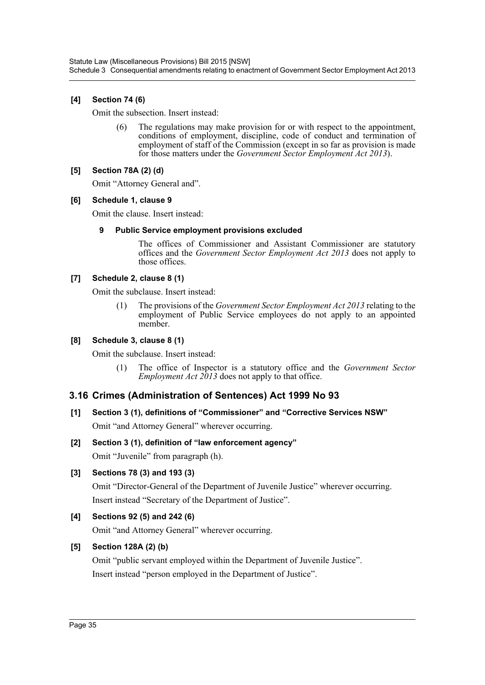### **[4] Section 74 (6)**

Omit the subsection. Insert instead:

(6) The regulations may make provision for or with respect to the appointment, conditions of employment, discipline, code of conduct and termination of employment of staff of the Commission (except in so far as provision is made for those matters under the *Government Sector Employment Act 2013*).

### **[5] Section 78A (2) (d)**

Omit "Attorney General and".

### **[6] Schedule 1, clause 9**

Omit the clause. Insert instead:

### **9 Public Service employment provisions excluded**

The offices of Commissioner and Assistant Commissioner are statutory offices and the *Government Sector Employment Act 2013* does not apply to those offices.

### **[7] Schedule 2, clause 8 (1)**

Omit the subclause. Insert instead:

(1) The provisions of the *Government Sector Employment Act 2013* relating to the employment of Public Service employees do not apply to an appointed member.

### **[8] Schedule 3, clause 8 (1)**

Omit the subclause. Insert instead:

(1) The office of Inspector is a statutory office and the *Government Sector Employment Act 2013* does not apply to that office.

# **3.16 Crimes (Administration of Sentences) Act 1999 No 93**

- **[1] Section 3 (1), definitions of "Commissioner" and "Corrective Services NSW"** Omit "and Attorney General" wherever occurring.
- **[2] Section 3 (1), definition of "law enforcement agency"** Omit "Juvenile" from paragraph (h).
- **[3] Sections 78 (3) and 193 (3)**

Omit "Director-General of the Department of Juvenile Justice" wherever occurring. Insert instead "Secretary of the Department of Justice".

### **[4] Sections 92 (5) and 242 (6)**

Omit "and Attorney General" wherever occurring.

### **[5] Section 128A (2) (b)**

Omit "public servant employed within the Department of Juvenile Justice". Insert instead "person employed in the Department of Justice".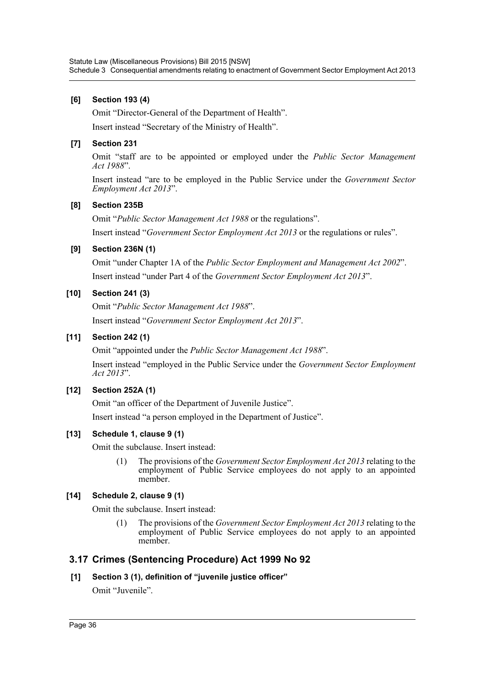### **[6] Section 193 (4)**

Omit "Director-General of the Department of Health".

Insert instead "Secretary of the Ministry of Health".

### **[7] Section 231**

Omit "staff are to be appointed or employed under the *Public Sector Management Act 1988*".

Insert instead "are to be employed in the Public Service under the *Government Sector Employment Act 2013*".

### **[8] Section 235B**

Omit "*Public Sector Management Act 1988* or the regulations".

Insert instead "*Government Sector Employment Act 2013* or the regulations or rules".

### **[9] Section 236N (1)**

Omit "under Chapter 1A of the *Public Sector Employment and Management Act 2002*". Insert instead "under Part 4 of the *Government Sector Employment Act 2013*".

### **[10] Section 241 (3)**

Omit "*Public Sector Management Act 1988*". Insert instead "*Government Sector Employment Act 2013*".

### **[11] Section 242 (1)**

Omit "appointed under the *Public Sector Management Act 1988*".

Insert instead "employed in the Public Service under the *Government Sector Employment Act 2013*".

### **[12] Section 252A (1)**

Omit "an officer of the Department of Juvenile Justice".

Insert instead "a person employed in the Department of Justice".

### **[13] Schedule 1, clause 9 (1)**

Omit the subclause. Insert instead:

(1) The provisions of the *Government Sector Employment Act 2013* relating to the employment of Public Service employees do not apply to an appointed member.

### **[14] Schedule 2, clause 9 (1)**

Omit the subclause. Insert instead:

(1) The provisions of the *Government Sector Employment Act 2013* relating to the employment of Public Service employees do not apply to an appointed member.

# **3.17 Crimes (Sentencing Procedure) Act 1999 No 92**

### **[1] Section 3 (1), definition of "juvenile justice officer"**

Omit "Juvenile".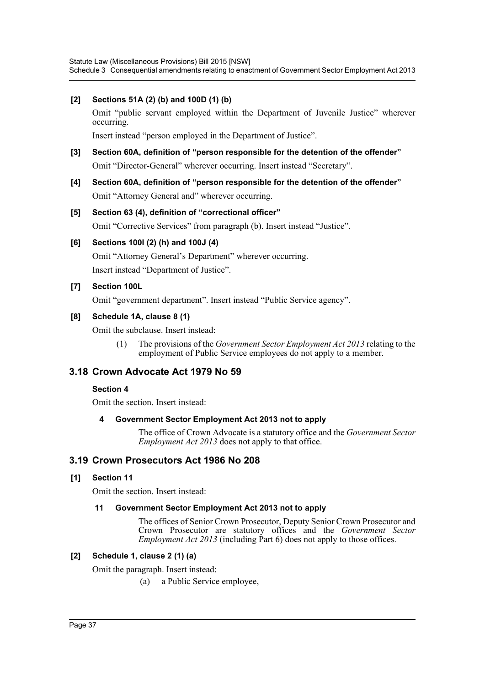### **[2] Sections 51A (2) (b) and 100D (1) (b)**

Omit "public servant employed within the Department of Juvenile Justice" wherever occurring.

Insert instead "person employed in the Department of Justice".

- **[3] Section 60A, definition of "person responsible for the detention of the offender"** Omit "Director-General" wherever occurring. Insert instead "Secretary".
- **[4] Section 60A, definition of "person responsible for the detention of the offender"** Omit "Attorney General and" wherever occurring.
- **[5] Section 63 (4), definition of "correctional officer"** Omit "Corrective Services" from paragraph (b). Insert instead "Justice".
- **[6] Sections 100I (2) (h) and 100J (4)**

Omit "Attorney General's Department" wherever occurring. Insert instead "Department of Justice".

### **[7] Section 100L**

Omit "government department". Insert instead "Public Service agency".

### **[8] Schedule 1A, clause 8 (1)**

Omit the subclause. Insert instead:

(1) The provisions of the *Government Sector Employment Act 2013* relating to the employment of Public Service employees do not apply to a member.

# **3.18 Crown Advocate Act 1979 No 59**

### **Section 4**

Omit the section. Insert instead:

### **4 Government Sector Employment Act 2013 not to apply**

The office of Crown Advocate is a statutory office and the *Government Sector Employment Act 2013* does not apply to that office.

# **3.19 Crown Prosecutors Act 1986 No 208**

### **[1] Section 11**

Omit the section. Insert instead:

### **11 Government Sector Employment Act 2013 not to apply**

The offices of Senior Crown Prosecutor, Deputy Senior Crown Prosecutor and Crown Prosecutor are statutory offices and the *Government Sector Employment Act 2013* (including Part 6) does not apply to those offices.

### **[2] Schedule 1, clause 2 (1) (a)**

Omit the paragraph. Insert instead:

(a) a Public Service employee,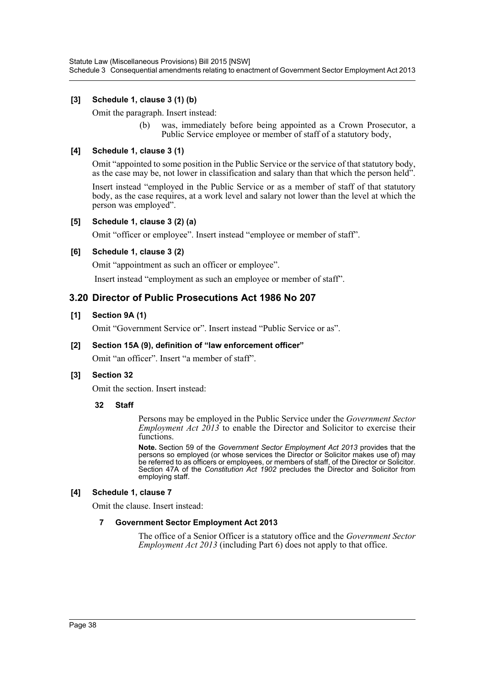### **[3] Schedule 1, clause 3 (1) (b)**

Omit the paragraph. Insert instead:

(b) was, immediately before being appointed as a Crown Prosecutor, a Public Service employee or member of staff of a statutory body,

### **[4] Schedule 1, clause 3 (1)**

Omit "appointed to some position in the Public Service or the service of that statutory body, as the case may be, not lower in classification and salary than that which the person held".

Insert instead "employed in the Public Service or as a member of staff of that statutory body, as the case requires, at a work level and salary not lower than the level at which the person was employed".

### **[5] Schedule 1, clause 3 (2) (a)**

Omit "officer or employee". Insert instead "employee or member of staff".

### **[6] Schedule 1, clause 3 (2)**

Omit "appointment as such an officer or employee".

Insert instead "employment as such an employee or member of staff".

### **3.20 Director of Public Prosecutions Act 1986 No 207**

### **[1] Section 9A (1)**

Omit "Government Service or". Insert instead "Public Service or as".

### **[2] Section 15A (9), definition of "law enforcement officer"**

Omit "an officer". Insert "a member of staff".

### **[3] Section 32**

Omit the section. Insert instead:

### **32 Staff**

Persons may be employed in the Public Service under the *Government Sector Employment Act 2013* to enable the Director and Solicitor to exercise their functions.

**Note.** Section 59 of the *Government Sector Employment Act 2013* provides that the persons so employed (or whose services the Director or Solicitor makes use of) may be referred to as officers or employees, or members of staff, of the Director or Solicitor. Section 47A of the *Constitution Act 1902* precludes the Director and Solicitor from employing staff.

### **[4] Schedule 1, clause 7**

Omit the clause. Insert instead:

### **7 Government Sector Employment Act 2013**

The office of a Senior Officer is a statutory office and the *Government Sector Employment Act 2013* (including Part 6) does not apply to that office.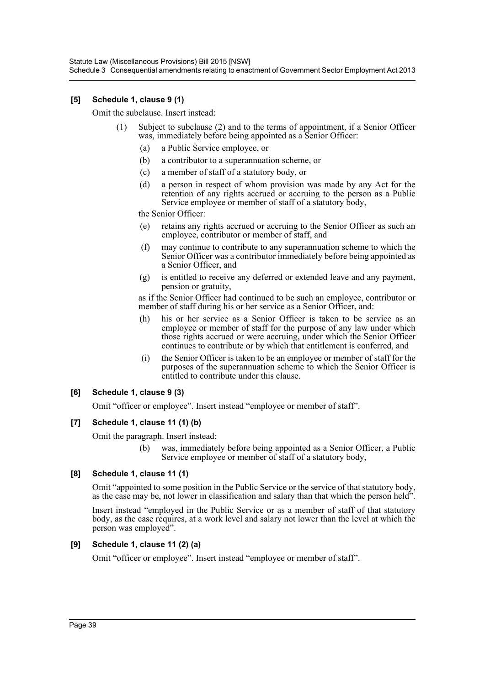Statute Law (Miscellaneous Provisions) Bill 2015 [NSW] Schedule 3 Consequential amendments relating to enactment of Government Sector Employment Act 2013

### **[5] Schedule 1, clause 9 (1)**

Omit the subclause. Insert instead:

- (1) Subject to subclause (2) and to the terms of appointment, if a Senior Officer was, immediately before being appointed as a Senior Officer:
	- (a) a Public Service employee, or
	- (b) a contributor to a superannuation scheme, or
	- (c) a member of staff of a statutory body, or
	- (d) a person in respect of whom provision was made by any Act for the retention of any rights accrued or accruing to the person as a Public Service employee or member of staff of a statutory body,

the Senior Officer:

- (e) retains any rights accrued or accruing to the Senior Officer as such an employee, contributor or member of staff, and
- (f) may continue to contribute to any superannuation scheme to which the Senior Officer was a contributor immediately before being appointed as a Senior Officer, and
- (g) is entitled to receive any deferred or extended leave and any payment, pension or gratuity,

as if the Senior Officer had continued to be such an employee, contributor or member of staff during his or her service as a Senior Officer, and:

- (h) his or her service as a Senior Officer is taken to be service as an employee or member of staff for the purpose of any law under which those rights accrued or were accruing, under which the Senior Officer continues to contribute or by which that entitlement is conferred, and
- (i) the Senior Officer is taken to be an employee or member of staff for the purposes of the superannuation scheme to which the Senior Officer is entitled to contribute under this clause.

### **[6] Schedule 1, clause 9 (3)**

Omit "officer or employee". Insert instead "employee or member of staff".

### **[7] Schedule 1, clause 11 (1) (b)**

Omit the paragraph. Insert instead:

(b) was, immediately before being appointed as a Senior Officer, a Public Service employee or member of staff of a statutory body,

### **[8] Schedule 1, clause 11 (1)**

Omit "appointed to some position in the Public Service or the service of that statutory body, as the case may be, not lower in classification and salary than that which the person held".

Insert instead "employed in the Public Service or as a member of staff of that statutory body, as the case requires, at a work level and salary not lower than the level at which the person was employed".

### **[9] Schedule 1, clause 11 (2) (a)**

Omit "officer or employee". Insert instead "employee or member of staff".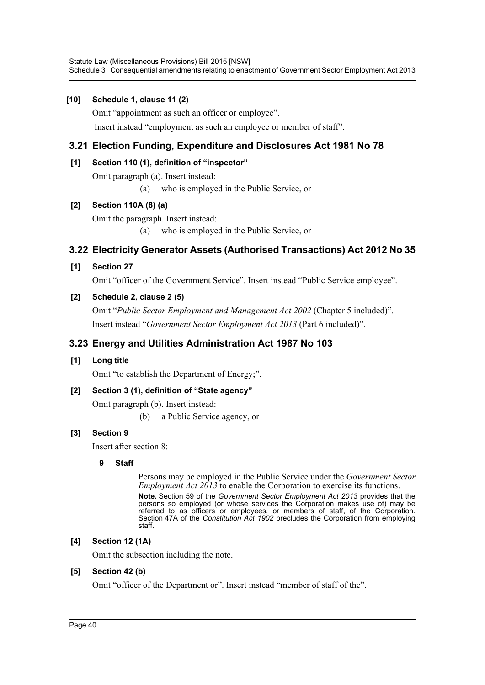### **[10] Schedule 1, clause 11 (2)**

Omit "appointment as such an officer or employee".

Insert instead "employment as such an employee or member of staff".

# **3.21 Election Funding, Expenditure and Disclosures Act 1981 No 78**

### **[1] Section 110 (1), definition of "inspector"**

Omit paragraph (a). Insert instead:

(a) who is employed in the Public Service, or

### **[2] Section 110A (8) (a)**

Omit the paragraph. Insert instead:

(a) who is employed in the Public Service, or

# **3.22 Electricity Generator Assets (Authorised Transactions) Act 2012 No 35**

### **[1] Section 27**

Omit "officer of the Government Service". Insert instead "Public Service employee".

### **[2] Schedule 2, clause 2 (5)**

Omit "*Public Sector Employment and Management Act 2002* (Chapter 5 included)". Insert instead "*Government Sector Employment Act 2013* (Part 6 included)".

# **3.23 Energy and Utilities Administration Act 1987 No 103**

### **[1] Long title**

Omit "to establish the Department of Energy;".

# **[2] Section 3 (1), definition of "State agency"**

Omit paragraph (b). Insert instead:

(b) a Public Service agency, or

# **[3] Section 9**

Insert after section 8:

### **9 Staff**

Persons may be employed in the Public Service under the *Government Sector Employment Act 2013* to enable the Corporation to exercise its functions. **Note.** Section 59 of the *Government Sector Employment Act 2013* provides that the persons so employed (or whose services the Corporation makes use of) may be referred to as officers or employees, or members of staff, of the Corporation. Section 47A of the *Constitution Act 1902* precludes the Corporation from employing staff.

### **[4] Section 12 (1A)**

Omit the subsection including the note.

### **[5] Section 42 (b)**

Omit "officer of the Department or". Insert instead "member of staff of the".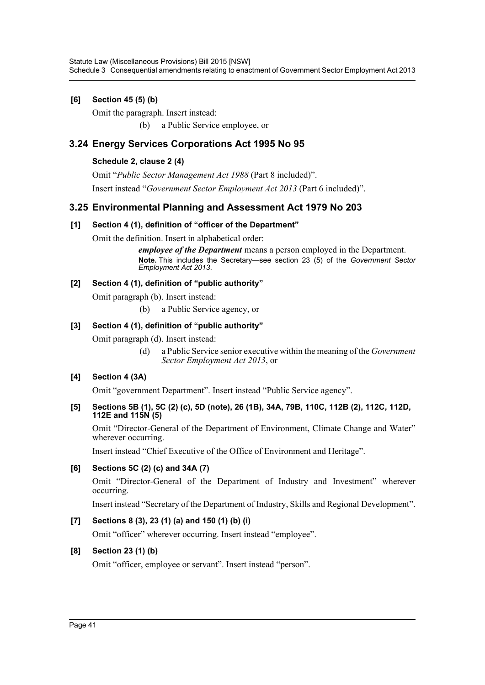### **[6] Section 45 (5) (b)**

Omit the paragraph. Insert instead:

(b) a Public Service employee, or

# **3.24 Energy Services Corporations Act 1995 No 95**

### **Schedule 2, clause 2 (4)**

Omit "*Public Sector Management Act 1988* (Part 8 included)".

Insert instead "*Government Sector Employment Act 2013* (Part 6 included)".

# **3.25 Environmental Planning and Assessment Act 1979 No 203**

### **[1] Section 4 (1), definition of "officer of the Department"**

Omit the definition. Insert in alphabetical order:

*employee of the Department* means a person employed in the Department. **Note.** This includes the Secretary—see section 23 (5) of the *Government Sector Employment Act 2013*.

### **[2] Section 4 (1), definition of "public authority"**

Omit paragraph (b). Insert instead:

(b) a Public Service agency, or

### **[3] Section 4 (1), definition of "public authority"**

Omit paragraph (d). Insert instead:

(d) a Public Service senior executive within the meaning of the *Government Sector Employment Act 2013*, or

### **[4] Section 4 (3A)**

Omit "government Department". Insert instead "Public Service agency".

### **[5] Sections 5B (1), 5C (2) (c), 5D (note), 26 (1B), 34A, 79B, 110C, 112B (2), 112C, 112D, 112E and 115N (5)**

Omit "Director-General of the Department of Environment, Climate Change and Water" wherever occurring.

Insert instead "Chief Executive of the Office of Environment and Heritage".

# **[6] Sections 5C (2) (c) and 34A (7)**

Omit "Director-General of the Department of Industry and Investment" wherever occurring.

Insert instead "Secretary of the Department of Industry, Skills and Regional Development".

### **[7] Sections 8 (3), 23 (1) (a) and 150 (1) (b) (i)**

Omit "officer" wherever occurring. Insert instead "employee".

### **[8] Section 23 (1) (b)**

Omit "officer, employee or servant". Insert instead "person".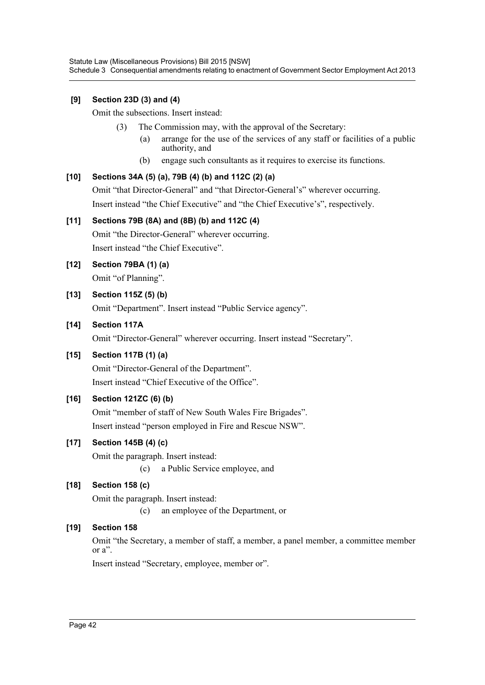### **[9] Section 23D (3) and (4)**

Omit the subsections. Insert instead:

- (3) The Commission may, with the approval of the Secretary:
	- (a) arrange for the use of the services of any staff or facilities of a public authority, and
	- (b) engage such consultants as it requires to exercise its functions.

### **[10] Sections 34A (5) (a), 79B (4) (b) and 112C (2) (a)**

Omit "that Director-General" and "that Director-General's" wherever occurring. Insert instead "the Chief Executive" and "the Chief Executive's", respectively.

### **[11] Sections 79B (8A) and (8B) (b) and 112C (4)**

Omit "the Director-General" wherever occurring. Insert instead "the Chief Executive".

### **[12] Section 79BA (1) (a)**

Omit "of Planning".

### **[13] Section 115Z (5) (b)**

Omit "Department". Insert instead "Public Service agency".

### **[14] Section 117A**

Omit "Director-General" wherever occurring. Insert instead "Secretary".

### **[15] Section 117B (1) (a)**

Omit "Director-General of the Department". Insert instead "Chief Executive of the Office".

### **[16] Section 121ZC (6) (b)**

Omit "member of staff of New South Wales Fire Brigades". Insert instead "person employed in Fire and Rescue NSW".

# **[17] Section 145B (4) (c)**

Omit the paragraph. Insert instead: (c) a Public Service employee, and

# **[18] Section 158 (c)**

Omit the paragraph. Insert instead:

(c) an employee of the Department, or

# **[19] Section 158**

Omit "the Secretary, a member of staff, a member, a panel member, a committee member or a".

Insert instead "Secretary, employee, member or".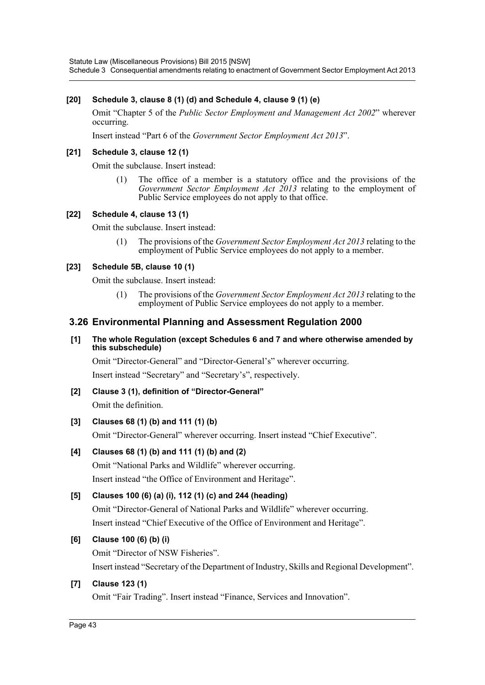Statute Law (Miscellaneous Provisions) Bill 2015 [NSW] Schedule 3 Consequential amendments relating to enactment of Government Sector Employment Act 2013

### **[20] Schedule 3, clause 8 (1) (d) and Schedule 4, clause 9 (1) (e)**

Omit "Chapter 5 of the *Public Sector Employment and Management Act 2002*" wherever occurring.

Insert instead "Part 6 of the *Government Sector Employment Act 2013*".

### **[21] Schedule 3, clause 12 (1)**

Omit the subclause. Insert instead:

(1) The office of a member is a statutory office and the provisions of the *Government Sector Employment Act 2013* relating to the employment of Public Service employees do not apply to that office.

### **[22] Schedule 4, clause 13 (1)**

Omit the subclause. Insert instead:

(1) The provisions of the *Government Sector Employment Act 2013* relating to the employment of Public Service employees do not apply to a member.

### **[23] Schedule 5B, clause 10 (1)**

Omit the subclause. Insert instead:

(1) The provisions of the *Government Sector Employment Act 2013* relating to the employment of Public Service employees do not apply to a member.

### **3.26 Environmental Planning and Assessment Regulation 2000**

### **[1] The whole Regulation (except Schedules 6 and 7 and where otherwise amended by this subschedule)**

Omit "Director-General" and "Director-General's" wherever occurring. Insert instead "Secretary" and "Secretary's", respectively.

# **[2] Clause 3 (1), definition of "Director-General"**

Omit the definition.

### **[3] Clauses 68 (1) (b) and 111 (1) (b)**

Omit "Director-General" wherever occurring. Insert instead "Chief Executive".

### **[4] Clauses 68 (1) (b) and 111 (1) (b) and (2)**

Omit "National Parks and Wildlife" wherever occurring. Insert instead "the Office of Environment and Heritage".

### **[5] Clauses 100 (6) (a) (i), 112 (1) (c) and 244 (heading)**

Omit "Director-General of National Parks and Wildlife" wherever occurring. Insert instead "Chief Executive of the Office of Environment and Heritage".

### **[6] Clause 100 (6) (b) (i)**

Omit "Director of NSW Fisheries". Insert instead "Secretary of the Department of Industry, Skills and Regional Development".

### **[7] Clause 123 (1)**

Omit "Fair Trading". Insert instead "Finance, Services and Innovation".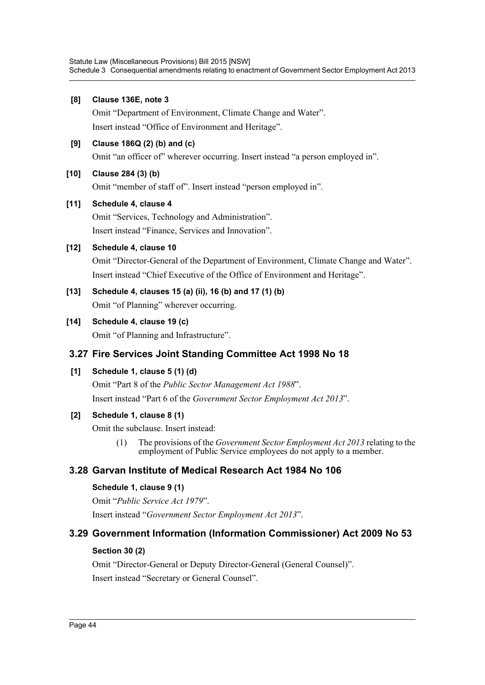### **[8] Clause 136E, note 3**

Omit "Department of Environment, Climate Change and Water". Insert instead "Office of Environment and Heritage".

### **[9] Clause 186Q (2) (b) and (c)**

Omit "an officer of" wherever occurring. Insert instead "a person employed in".

### **[10] Clause 284 (3) (b)**

Omit "member of staff of". Insert instead "person employed in".

### **[11] Schedule 4, clause 4**

Omit "Services, Technology and Administration". Insert instead "Finance, Services and Innovation".

### **[12] Schedule 4, clause 10**

Omit "Director-General of the Department of Environment, Climate Change and Water". Insert instead "Chief Executive of the Office of Environment and Heritage".

# **[13] Schedule 4, clauses 15 (a) (ii), 16 (b) and 17 (1) (b)**

Omit "of Planning" wherever occurring.

### **[14] Schedule 4, clause 19 (c)**

Omit "of Planning and Infrastructure".

# **3.27 Fire Services Joint Standing Committee Act 1998 No 18**

### **[1] Schedule 1, clause 5 (1) (d)**

Omit "Part 8 of the *Public Sector Management Act 1988*". Insert instead "Part 6 of the *Government Sector Employment Act 2013*".

### **[2] Schedule 1, clause 8 (1)**

Omit the subclause. Insert instead:

(1) The provisions of the *Government Sector Employment Act 2013* relating to the employment of Public Service employees do not apply to a member.

# **3.28 Garvan Institute of Medical Research Act 1984 No 106**

### **Schedule 1, clause 9 (1)**

Omit "*Public Service Act 1979*". Insert instead "*Government Sector Employment Act 2013*".

# **3.29 Government Information (Information Commissioner) Act 2009 No 53**

### **Section 30 (2)**

Omit "Director-General or Deputy Director-General (General Counsel)". Insert instead "Secretary or General Counsel".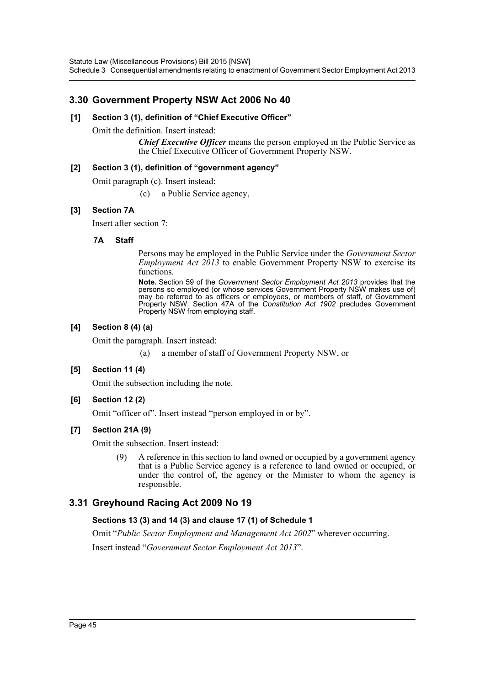# **3.30 Government Property NSW Act 2006 No 40**

### **[1] Section 3 (1), definition of "Chief Executive Officer"**

Omit the definition. Insert instead:

*Chief Executive Officer* means the person employed in the Public Service as the Chief Executive Officer of Government Property NSW.

### **[2] Section 3 (1), definition of "government agency"**

Omit paragraph (c). Insert instead:

(c) a Public Service agency,

### **[3] Section 7A**

Insert after section 7:

### **7A Staff**

Persons may be employed in the Public Service under the *Government Sector Employment Act 2013* to enable Government Property NSW to exercise its functions.

**Note.** Section 59 of the *Government Sector Employment Act 2013* provides that the persons so employed (or whose services Government Property NSW makes use of) may be referred to as officers or employees, or members of staff, of Government Property NSW. Section 47A of the *Constitution Act 1902* precludes Government Property NSW from employing staff.

### **[4] Section 8 (4) (a)**

Omit the paragraph. Insert instead:

(a) a member of staff of Government Property NSW, or

### **[5] Section 11 (4)**

Omit the subsection including the note.

### **[6] Section 12 (2)**

Omit "officer of". Insert instead "person employed in or by".

### **[7] Section 21A (9)**

Omit the subsection. Insert instead:

(9) A reference in this section to land owned or occupied by a government agency that is a Public Service agency is a reference to land owned or occupied, or under the control of, the agency or the Minister to whom the agency is responsible.

# **3.31 Greyhound Racing Act 2009 No 19**

### **Sections 13 (3) and 14 (3) and clause 17 (1) of Schedule 1**

Omit "*Public Sector Employment and Management Act 2002*" wherever occurring. Insert instead "*Government Sector Employment Act 2013*".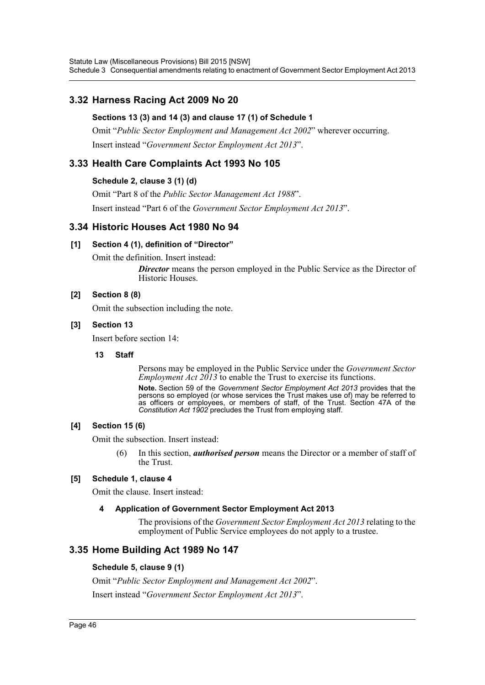Statute Law (Miscellaneous Provisions) Bill 2015 [NSW] Schedule 3 Consequential amendments relating to enactment of Government Sector Employment Act 2013

# **3.32 Harness Racing Act 2009 No 20**

### **Sections 13 (3) and 14 (3) and clause 17 (1) of Schedule 1**

Omit "*Public Sector Employment and Management Act 2002*" wherever occurring. Insert instead "*Government Sector Employment Act 2013*".

# **3.33 Health Care Complaints Act 1993 No 105**

### **Schedule 2, clause 3 (1) (d)**

Omit "Part 8 of the *Public Sector Management Act 1988*". Insert instead "Part 6 of the *Government Sector Employment Act 2013*".

### **3.34 Historic Houses Act 1980 No 94**

### **[1] Section 4 (1), definition of "Director"**

Omit the definition. Insert instead:

**Director** means the person employed in the Public Service as the Director of Historic Houses.

### **[2] Section 8 (8)**

Omit the subsection including the note.

### **[3] Section 13**

Insert before section 14:

### **13 Staff**

Persons may be employed in the Public Service under the *Government Sector Employment Act 2013* to enable the Trust to exercise its functions. **Note.** Section 59 of the *Government Sector Employment Act 2013* provides that the persons so employed (or whose services the Trust makes use of) may be referred to as officers or employees, or members of staff, of the Trust. Section 47A of the *Constitution Act 1902* precludes the Trust from employing staff.

### **[4] Section 15 (6)**

Omit the subsection. Insert instead:

(6) In this section, *authorised person* means the Director or a member of staff of the Trust.

### **[5] Schedule 1, clause 4**

Omit the clause. Insert instead:

### **4 Application of Government Sector Employment Act 2013**

The provisions of the *Government Sector Employment Act 2013* relating to the employment of Public Service employees do not apply to a trustee.

### **3.35 Home Building Act 1989 No 147**

### **Schedule 5, clause 9 (1)**

Omit "*Public Sector Employment and Management Act 2002*".

Insert instead "*Government Sector Employment Act 2013*".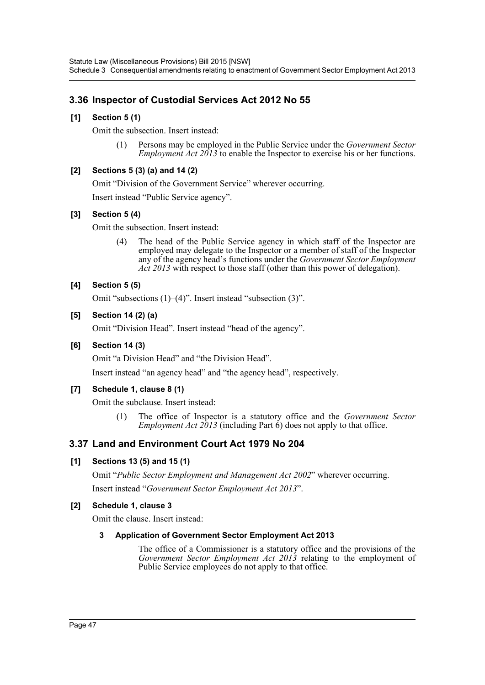# **3.36 Inspector of Custodial Services Act 2012 No 55**

### **[1] Section 5 (1)**

Omit the subsection. Insert instead:

(1) Persons may be employed in the Public Service under the *Government Sector Employment Act 2013* to enable the Inspector to exercise his or her functions.

### **[2] Sections 5 (3) (a) and 14 (2)**

Omit "Division of the Government Service" wherever occurring.

Insert instead "Public Service agency".

### **[3] Section 5 (4)**

Omit the subsection. Insert instead:

(4) The head of the Public Service agency in which staff of the Inspector are employed may delegate to the Inspector or a member of staff of the Inspector any of the agency head's functions under the *Government Sector Employment Act 2013* with respect to those staff (other than this power of delegation).

### **[4] Section 5 (5)**

Omit "subsections (1)–(4)". Insert instead "subsection (3)".

### **[5] Section 14 (2) (a)**

Omit "Division Head". Insert instead "head of the agency".

### **[6] Section 14 (3)**

Omit "a Division Head" and "the Division Head".

Insert instead "an agency head" and "the agency head", respectively.

### **[7] Schedule 1, clause 8 (1)**

Omit the subclause. Insert instead:

(1) The office of Inspector is a statutory office and the *Government Sector Employment Act*  $2013$  *(including Part 6)* does not apply to that office.

# **3.37 Land and Environment Court Act 1979 No 204**

### **[1] Sections 13 (5) and 15 (1)**

Omit "*Public Sector Employment and Management Act 2002*" wherever occurring. Insert instead "*Government Sector Employment Act 2013*".

### **[2] Schedule 1, clause 3**

Omit the clause. Insert instead:

### **3 Application of Government Sector Employment Act 2013**

The office of a Commissioner is a statutory office and the provisions of the *Government Sector Employment Act 2013* relating to the employment of Public Service employees do not apply to that office.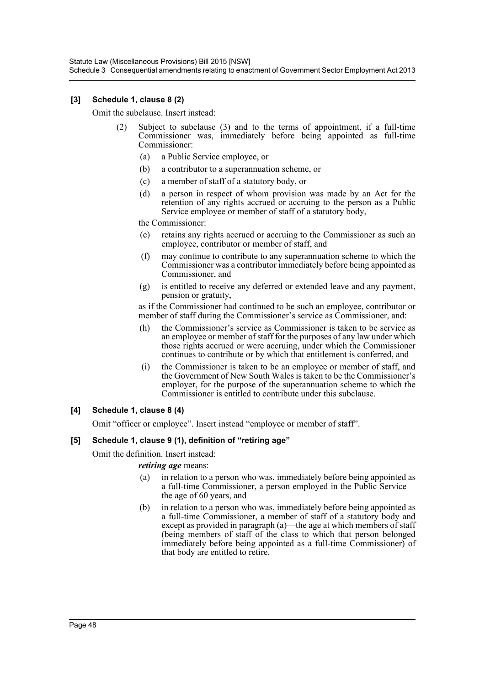Statute Law (Miscellaneous Provisions) Bill 2015 [NSW] Schedule 3 Consequential amendments relating to enactment of Government Sector Employment Act 2013

### **[3] Schedule 1, clause 8 (2)**

Omit the subclause. Insert instead:

- (2) Subject to subclause (3) and to the terms of appointment, if a full-time Commissioner was, immediately before being appointed as full-time Commissioner:
	- (a) a Public Service employee, or
	- (b) a contributor to a superannuation scheme, or
	- (c) a member of staff of a statutory body, or
	- (d) a person in respect of whom provision was made by an Act for the retention of any rights accrued or accruing to the person as a Public Service employee or member of staff of a statutory body,

the Commissioner:

- (e) retains any rights accrued or accruing to the Commissioner as such an employee, contributor or member of staff, and
- (f) may continue to contribute to any superannuation scheme to which the Commissioner was a contributor immediately before being appointed as Commissioner, and
- (g) is entitled to receive any deferred or extended leave and any payment, pension or gratuity,

as if the Commissioner had continued to be such an employee, contributor or member of staff during the Commissioner's service as Commissioner, and:

- (h) the Commissioner's service as Commissioner is taken to be service as an employee or member of staff for the purposes of any law under which those rights accrued or were accruing, under which the Commissioner continues to contribute or by which that entitlement is conferred, and
- (i) the Commissioner is taken to be an employee or member of staff, and the Government of New South Wales is taken to be the Commissioner's employer, for the purpose of the superannuation scheme to which the Commissioner is entitled to contribute under this subclause.

### **[4] Schedule 1, clause 8 (4)**

Omit "officer or employee". Insert instead "employee or member of staff".

#### **[5] Schedule 1, clause 9 (1), definition of "retiring age"**

Omit the definition. Insert instead:

*retiring age* means:

- (a) in relation to a person who was, immediately before being appointed as a full-time Commissioner, a person employed in the Public Service the age of 60 years, and
- (b) in relation to a person who was, immediately before being appointed as a full-time Commissioner, a member of staff of a statutory body and except as provided in paragraph (a)—the age at which members of staff (being members of staff of the class to which that person belonged immediately before being appointed as a full-time Commissioner) of that body are entitled to retire.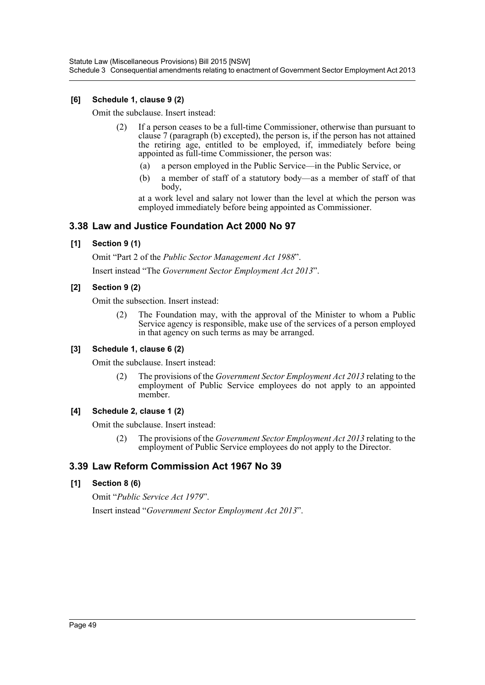### **[6] Schedule 1, clause 9 (2)**

Omit the subclause. Insert instead:

- (2) If a person ceases to be a full-time Commissioner, otherwise than pursuant to clause 7 (paragraph (b) excepted), the person is, if the person has not attained the retiring age, entitled to be employed, if, immediately before being appointed as full-time Commissioner, the person was:
	- (a) a person employed in the Public Service—in the Public Service, or
	- (b) a member of staff of a statutory body—as a member of staff of that body,

at a work level and salary not lower than the level at which the person was employed immediately before being appointed as Commissioner.

### **3.38 Law and Justice Foundation Act 2000 No 97**

### **[1] Section 9 (1)**

Omit "Part 2 of the *Public Sector Management Act 1988*".

Insert instead "The *Government Sector Employment Act 2013*".

### **[2] Section 9 (2)**

Omit the subsection. Insert instead:

(2) The Foundation may, with the approval of the Minister to whom a Public Service agency is responsible, make use of the services of a person employed in that agency on such terms as may be arranged.

### **[3] Schedule 1, clause 6 (2)**

Omit the subclause. Insert instead:

(2) The provisions of the *Government Sector Employment Act 2013* relating to the employment of Public Service employees do not apply to an appointed member.

### **[4] Schedule 2, clause 1 (2)**

Omit the subclause. Insert instead:

(2) The provisions of the *Government Sector Employment Act 2013* relating to the employment of Public Service employees do not apply to the Director.

# **3.39 Law Reform Commission Act 1967 No 39**

### **[1] Section 8 (6)**

Omit "*Public Service Act 1979*". Insert instead "*Government Sector Employment Act 2013*".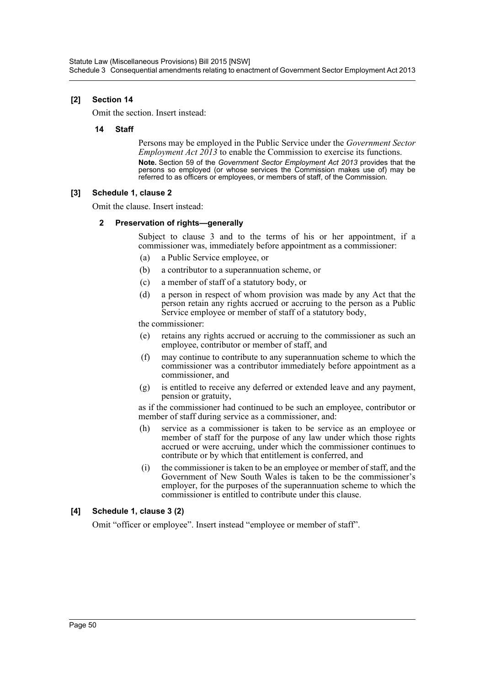### **[2] Section 14**

Omit the section. Insert instead:

### **14 Staff**

Persons may be employed in the Public Service under the *Government Sector Employment Act 2013* to enable the Commission to exercise its functions. **Note.** Section 59 of the *Government Sector Employment Act 2013* provides that the persons so employed (or whose services the Commission makes use of) may be referred to as officers or employees, or members of staff, of the Commission.

### **[3] Schedule 1, clause 2**

Omit the clause. Insert instead:

### **2 Preservation of rights—generally**

Subject to clause 3 and to the terms of his or her appointment, if a commissioner was, immediately before appointment as a commissioner:

- (a) a Public Service employee, or
- (b) a contributor to a superannuation scheme, or
- (c) a member of staff of a statutory body, or
- (d) a person in respect of whom provision was made by any Act that the person retain any rights accrued or accruing to the person as a Public Service employee or member of staff of a statutory body,

the commissioner:

- (e) retains any rights accrued or accruing to the commissioner as such an employee, contributor or member of staff, and
- (f) may continue to contribute to any superannuation scheme to which the commissioner was a contributor immediately before appointment as a commissioner, and
- (g) is entitled to receive any deferred or extended leave and any payment, pension or gratuity,

as if the commissioner had continued to be such an employee, contributor or member of staff during service as a commissioner, and:

- (h) service as a commissioner is taken to be service as an employee or member of staff for the purpose of any law under which those rights accrued or were accruing, under which the commissioner continues to contribute or by which that entitlement is conferred, and
- (i) the commissioner is taken to be an employee or member of staff, and the Government of New South Wales is taken to be the commissioner's employer, for the purposes of the superannuation scheme to which the commissioner is entitled to contribute under this clause.

### **[4] Schedule 1, clause 3 (2)**

Omit "officer or employee". Insert instead "employee or member of staff".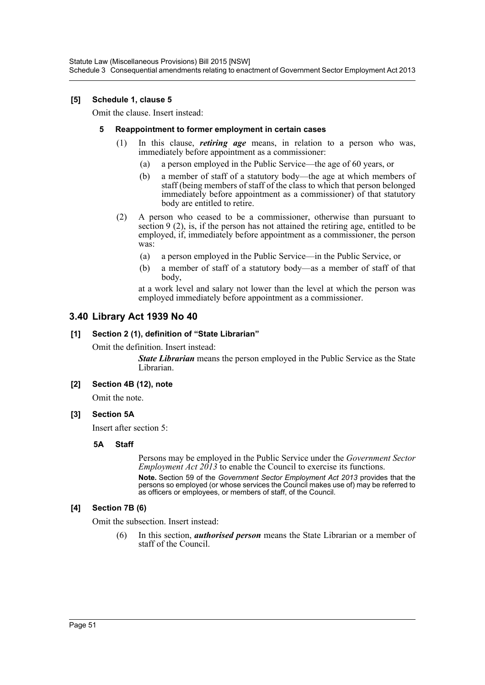Statute Law (Miscellaneous Provisions) Bill 2015 [NSW] Schedule 3 Consequential amendments relating to enactment of Government Sector Employment Act 2013

### **[5] Schedule 1, clause 5**

Omit the clause. Insert instead:

#### **5 Reappointment to former employment in certain cases**

- (1) In this clause, *retiring age* means, in relation to a person who was, immediately before appointment as a commissioner:
	- (a) a person employed in the Public Service—the age of 60 years, or
	- (b) a member of staff of a statutory body—the age at which members of staff (being members of staff of the class to which that person belonged immediately before appointment as a commissioner) of that statutory body are entitled to retire.
- (2) A person who ceased to be a commissioner, otherwise than pursuant to section 9 (2), is, if the person has not attained the retiring age, entitled to be employed, if, immediately before appointment as a commissioner, the person was:
	- (a) a person employed in the Public Service—in the Public Service, or
	- (b) a member of staff of a statutory body—as a member of staff of that body,

at a work level and salary not lower than the level at which the person was employed immediately before appointment as a commissioner.

### **3.40 Library Act 1939 No 40**

#### **[1] Section 2 (1), definition of "State Librarian"**

Omit the definition. Insert instead:

*State Librarian* means the person employed in the Public Service as the State Librarian.

#### **[2] Section 4B (12), note**

Omit the note.

### **[3] Section 5A**

Insert after section 5:

### **5A Staff**

Persons may be employed in the Public Service under the *Government Sector Employment Act 2013* to enable the Council to exercise its functions.

**Note.** Section 59 of the *Government Sector Employment Act 2013* provides that the persons so employed (or whose services the Council makes use of) may be referred to as officers or employees, or members of staff, of the Council.

### **[4] Section 7B (6)**

Omit the subsection. Insert instead:

(6) In this section, *authorised person* means the State Librarian or a member of staff of the Council.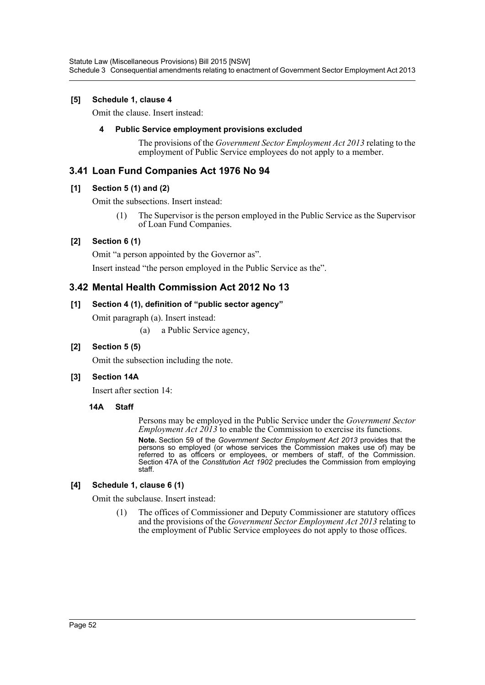### **[5] Schedule 1, clause 4**

Omit the clause. Insert instead:

### **4 Public Service employment provisions excluded**

The provisions of the *Government Sector Employment Act 2013* relating to the employment of Public Service employees do not apply to a member.

# **3.41 Loan Fund Companies Act 1976 No 94**

### **[1] Section 5 (1) and (2)**

Omit the subsections. Insert instead:

(1) The Supervisor is the person employed in the Public Service as the Supervisor of Loan Fund Companies.

# **[2] Section 6 (1)**

Omit "a person appointed by the Governor as".

Insert instead "the person employed in the Public Service as the".

# **3.42 Mental Health Commission Act 2012 No 13**

### **[1] Section 4 (1), definition of "public sector agency"**

Omit paragraph (a). Insert instead:

(a) a Public Service agency,

### **[2] Section 5 (5)**

Omit the subsection including the note.

### **[3] Section 14A**

Insert after section 14:

### **14A Staff**

Persons may be employed in the Public Service under the *Government Sector Employment Act 2013* to enable the Commission to exercise its functions.

**Note.** Section 59 of the *Government Sector Employment Act 2013* provides that the persons so employed (or whose services the Commission makes use of) may be referred to as officers or employees, or members of staff, of the Commission. Section 47A of the *Constitution Act 1902* precludes the Commission from employing staff.

### **[4] Schedule 1, clause 6 (1)**

Omit the subclause. Insert instead:

(1) The offices of Commissioner and Deputy Commissioner are statutory offices and the provisions of the *Government Sector Employment Act 2013* relating to the employment of Public Service employees do not apply to those offices.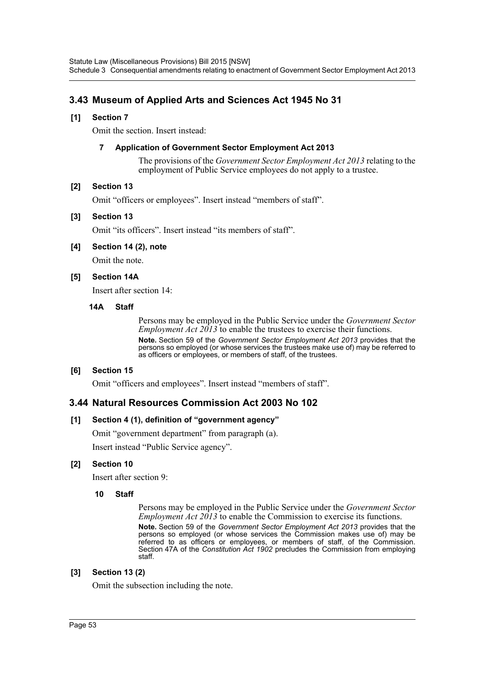# **3.43 Museum of Applied Arts and Sciences Act 1945 No 31**

### **[1] Section 7**

Omit the section. Insert instead:

### **7 Application of Government Sector Employment Act 2013**

The provisions of the *Government Sector Employment Act 2013* relating to the employment of Public Service employees do not apply to a trustee.

### **[2] Section 13**

Omit "officers or employees". Insert instead "members of staff".

### **[3] Section 13**

Omit "its officers". Insert instead "its members of staff".

### **[4] Section 14 (2), note**

Omit the note.

### **[5] Section 14A**

Insert after section 14:

#### **14A Staff**

Persons may be employed in the Public Service under the *Government Sector Employment Act 2013* to enable the trustees to exercise their functions. **Note.** Section 59 of the *Government Sector Employment Act 2013* provides that the persons so employed (or whose services the trustees make use of) may be referred to as officers or employees, or members of staff, of the trustees.

### **[6] Section 15**

Omit "officers and employees". Insert instead "members of staff".

### **3.44 Natural Resources Commission Act 2003 No 102**

### **[1] Section 4 (1), definition of "government agency"**

Omit "government department" from paragraph (a).

Insert instead "Public Service agency".

### **[2] Section 10**

Insert after section 9:

### **10 Staff**

Persons may be employed in the Public Service under the *Government Sector Employment Act 2013* to enable the Commission to exercise its functions. **Note.** Section 59 of the *Government Sector Employment Act 2013* provides that the persons so employed (or whose services the Commission makes use of) may be referred to as officers or employees, or members of staff, of the Commission. Section 47A of the *Constitution Act 1902* precludes the Commission from employing staff.

### **[3] Section 13 (2)**

Omit the subsection including the note.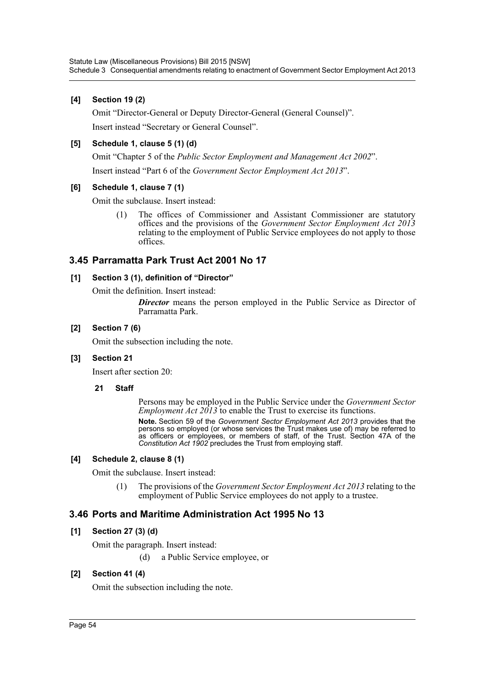### **[4] Section 19 (2)**

Omit "Director-General or Deputy Director-General (General Counsel)". Insert instead "Secretary or General Counsel".

### **[5] Schedule 1, clause 5 (1) (d)**

Omit "Chapter 5 of the *Public Sector Employment and Management Act 2002*".

Insert instead "Part 6 of the *Government Sector Employment Act 2013*".

### **[6] Schedule 1, clause 7 (1)**

Omit the subclause. Insert instead:

(1) The offices of Commissioner and Assistant Commissioner are statutory offices and the provisions of the *Government Sector Employment Act 2013* relating to the employment of Public Service employees do not apply to those offices.

### **3.45 Parramatta Park Trust Act 2001 No 17**

### **[1] Section 3 (1), definition of "Director"**

Omit the definition. Insert instead:

**Director** means the person employed in the Public Service as Director of Parramatta Park.

### **[2] Section 7 (6)**

Omit the subsection including the note.

### **[3] Section 21**

Insert after section 20:

### **21 Staff**

Persons may be employed in the Public Service under the *Government Sector Employment Act 2013* to enable the Trust to exercise its functions.

**Note.** Section 59 of the *Government Sector Employment Act 2013* provides that the persons so employed (or whose services the Trust makes use of) may be referred to as officers or employees, or members of staff, of the Trust. Section 47A of the *Constitution Act 1902* precludes the Trust from employing staff.

### **[4] Schedule 2, clause 8 (1)**

Omit the subclause. Insert instead:

(1) The provisions of the *Government Sector Employment Act 2013* relating to the employment of Public Service employees do not apply to a trustee.

# **3.46 Ports and Maritime Administration Act 1995 No 13**

### **[1] Section 27 (3) (d)**

Omit the paragraph. Insert instead:

(d) a Public Service employee, or

### **[2] Section 41 (4)**

Omit the subsection including the note.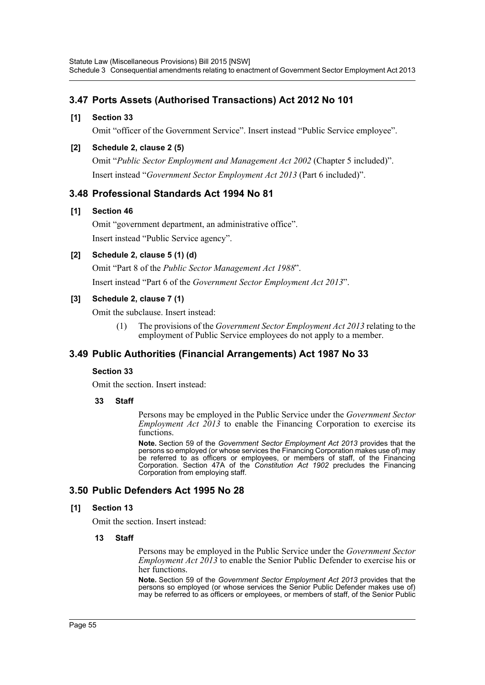# **3.47 Ports Assets (Authorised Transactions) Act 2012 No 101**

### **[1] Section 33**

Omit "officer of the Government Service". Insert instead "Public Service employee".

### **[2] Schedule 2, clause 2 (5)**

Omit "*Public Sector Employment and Management Act 2002* (Chapter 5 included)". Insert instead "*Government Sector Employment Act 2013* (Part 6 included)".

### **3.48 Professional Standards Act 1994 No 81**

### **[1] Section 46**

Omit "government department, an administrative office". Insert instead "Public Service agency".

### **[2] Schedule 2, clause 5 (1) (d)**

Omit "Part 8 of the *Public Sector Management Act 1988*". Insert instead "Part 6 of the *Government Sector Employment Act 2013*".

### **[3] Schedule 2, clause 7 (1)**

Omit the subclause. Insert instead:

(1) The provisions of the *Government Sector Employment Act 2013* relating to the employment of Public Service employees do not apply to a member.

# **3.49 Public Authorities (Financial Arrangements) Act 1987 No 33**

### **Section 33**

Omit the section. Insert instead:

### **33 Staff**

Persons may be employed in the Public Service under the *Government Sector Employment Act*  $2013$  *to enable the Financing Corporation to exercise its* functions.

**Note.** Section 59 of the *Government Sector Employment Act 2013* provides that the persons so employed (or whose services the Financing Corporation makes use of) may be referred to as officers or employees, or members of staff, of the Financing Corporation. Section 47A of the *Constitution Act 1902* precludes the Financing Corporation from employing staff.

# **3.50 Public Defenders Act 1995 No 28**

### **[1] Section 13**

Omit the section. Insert instead:

### **13 Staff**

Persons may be employed in the Public Service under the *Government Sector Employment Act 2013* to enable the Senior Public Defender to exercise his or her functions.

**Note.** Section 59 of the *Government Sector Employment Act 2013* provides that the persons so employed (or whose services the Senior Public Defender makes use of) may be referred to as officers or employees, or members of staff, of the Senior Public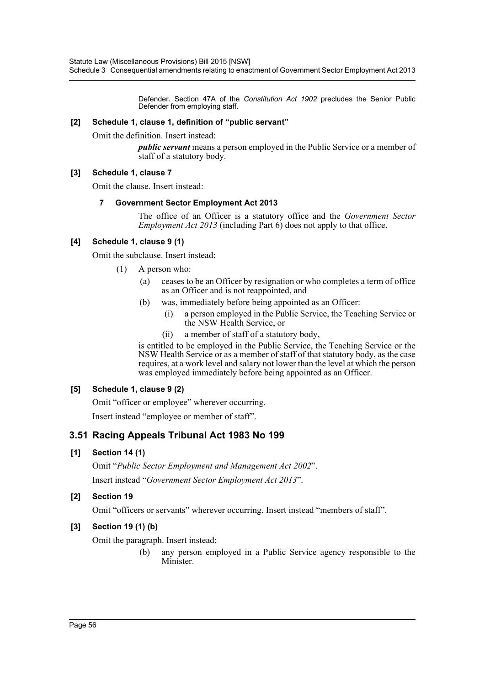Defender. Section 47A of the *Constitution Act 1902* precludes the Senior Public Defender from employing staff.

### **[2] Schedule 1, clause 1, definition of "public servant"**

Omit the definition. Insert instead:

*public servant* means a person employed in the Public Service or a member of staff of a statutory body.

### **[3] Schedule 1, clause 7**

Omit the clause. Insert instead:

### **7 Government Sector Employment Act 2013**

The office of an Officer is a statutory office and the *Government Sector Employment Act 2013* (including Part 6) does not apply to that office.

### **[4] Schedule 1, clause 9 (1)**

Omit the subclause. Insert instead:

- (1) A person who:
	- (a) ceases to be an Officer by resignation or who completes a term of office as an Officer and is not reappointed, and
	- (b) was, immediately before being appointed as an Officer:
		- (i) a person employed in the Public Service, the Teaching Service or the NSW Health Service, or
		- (ii) a member of staff of a statutory body,

is entitled to be employed in the Public Service, the Teaching Service or the NSW Health Service or as a member of staff of that statutory body, as the case requires, at a work level and salary not lower than the level at which the person was employed immediately before being appointed as an Officer.

### **[5] Schedule 1, clause 9 (2)**

Omit "officer or employee" wherever occurring.

Insert instead "employee or member of staff".

# **3.51 Racing Appeals Tribunal Act 1983 No 199**

### **[1] Section 14 (1)**

Omit "*Public Sector Employment and Management Act 2002*". Insert instead "*Government Sector Employment Act 2013*".

### **[2] Section 19**

Omit "officers or servants" wherever occurring. Insert instead "members of staff".

# **[3] Section 19 (1) (b)**

Omit the paragraph. Insert instead:

(b) any person employed in a Public Service agency responsible to the Minister.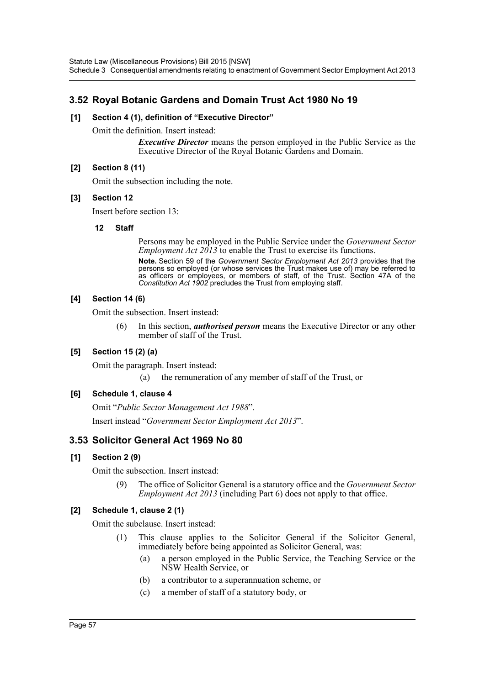# **3.52 Royal Botanic Gardens and Domain Trust Act 1980 No 19**

### **[1] Section 4 (1), definition of "Executive Director"**

Omit the definition. Insert instead:

*Executive Director* means the person employed in the Public Service as the Executive Director of the Royal Botanic Gardens and Domain.

### **[2] Section 8 (11)**

Omit the subsection including the note.

### **[3] Section 12**

Insert before section 13:

### **12 Staff**

Persons may be employed in the Public Service under the *Government Sector Employment Act 2013* to enable the Trust to exercise its functions.

**Note.** Section 59 of the *Government Sector Employment Act 2013* provides that the persons so employed (or whose services the Trust makes use of) may be referred to as officers or employees, or members of staff, of the Trust. Section 47A of the *Constitution Act 1902* precludes the Trust from employing staff.

### **[4] Section 14 (6)**

Omit the subsection. Insert instead:

(6) In this section, *authorised person* means the Executive Director or any other member of staff of the Trust.

### **[5] Section 15 (2) (a)**

Omit the paragraph. Insert instead:

(a) the remuneration of any member of staff of the Trust, or

### **[6] Schedule 1, clause 4**

Omit "*Public Sector Management Act 1988*". Insert instead "*Government Sector Employment Act 2013*".

# **3.53 Solicitor General Act 1969 No 80**

### **[1] Section 2 (9)**

Omit the subsection. Insert instead:

(9) The office of Solicitor General is a statutory office and the *Government Sector Employment Act 2013* (including Part 6) does not apply to that office.

### **[2] Schedule 1, clause 2 (1)**

Omit the subclause. Insert instead:

- (1) This clause applies to the Solicitor General if the Solicitor General, immediately before being appointed as Solicitor General, was:
	- (a) a person employed in the Public Service, the Teaching Service or the NSW Health Service, or
	- (b) a contributor to a superannuation scheme, or
	- (c) a member of staff of a statutory body, or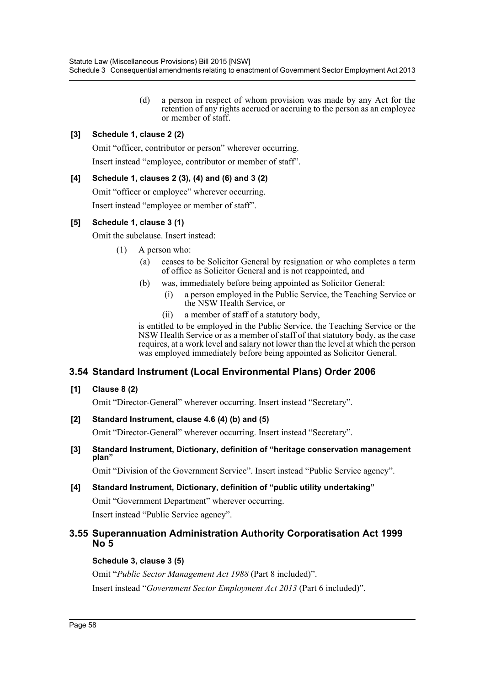(d) a person in respect of whom provision was made by any Act for the retention of any rights accrued or accruing to the person as an employee or member of staff.

### **[3] Schedule 1, clause 2 (2)**

Omit "officer, contributor or person" wherever occurring.

Insert instead "employee, contributor or member of staff".

### **[4] Schedule 1, clauses 2 (3), (4) and (6) and 3 (2)**

Omit "officer or employee" wherever occurring.

Insert instead "employee or member of staff".

### **[5] Schedule 1, clause 3 (1)**

Omit the subclause. Insert instead:

- (1) A person who:
	- (a) ceases to be Solicitor General by resignation or who completes a term of office as Solicitor General and is not reappointed, and
	- (b) was, immediately before being appointed as Solicitor General:
		- (i) a person employed in the Public Service, the Teaching Service or the NSW Health Service, or
		- (ii) a member of staff of a statutory body,

is entitled to be employed in the Public Service, the Teaching Service or the NSW Health Service or as a member of staff of that statutory body, as the case requires, at a work level and salary not lower than the level at which the person was employed immediately before being appointed as Solicitor General.

# **3.54 Standard Instrument (Local Environmental Plans) Order 2006**

### **[1] Clause 8 (2)**

Omit "Director-General" wherever occurring. Insert instead "Secretary".

### **[2] Standard Instrument, clause 4.6 (4) (b) and (5)**

Omit "Director-General" wherever occurring. Insert instead "Secretary".

### **[3] Standard Instrument, Dictionary, definition of "heritage conservation management plan"**

Omit "Division of the Government Service". Insert instead "Public Service agency".

# **[4] Standard Instrument, Dictionary, definition of "public utility undertaking"** Omit "Government Department" wherever occurring.

Insert instead "Public Service agency".

### **3.55 Superannuation Administration Authority Corporatisation Act 1999 No 5**

### **Schedule 3, clause 3 (5)**

Omit "*Public Sector Management Act 1988* (Part 8 included)". Insert instead "*Government Sector Employment Act 2013* (Part 6 included)".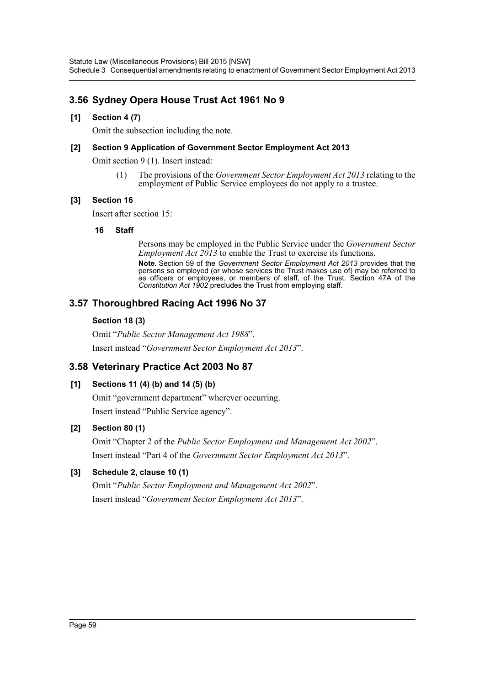# **3.56 Sydney Opera House Trust Act 1961 No 9**

### **[1] Section 4 (7)**

Omit the subsection including the note.

### **[2] Section 9 Application of Government Sector Employment Act 2013**

Omit section 9 (1). Insert instead:

(1) The provisions of the *Government Sector Employment Act 2013* relating to the employment of Public Service employees do not apply to a trustee.

### **[3] Section 16**

Insert after section 15:

### **16 Staff**

Persons may be employed in the Public Service under the *Government Sector Employment Act 2013* to enable the Trust to exercise its functions.

**Note.** Section 59 of the *Government Sector Employment Act 2013* provides that the persons so employed (or whose services the Trust makes use of) may be referred to as officers or employees, or members of staff, of the Trust. Section 47A of the *Constitution Act 1902* precludes the Trust from employing staff.

# **3.57 Thoroughbred Racing Act 1996 No 37**

### **Section 18 (3)**

Omit "*Public Sector Management Act 1988*". Insert instead "*Government Sector Employment Act 2013*".

# **3.58 Veterinary Practice Act 2003 No 87**

# **[1] Sections 11 (4) (b) and 14 (5) (b)**

Omit "government department" wherever occurring. Insert instead "Public Service agency".

# **[2] Section 80 (1)**

Omit "Chapter 2 of the *Public Sector Employment and Management Act 2002*". Insert instead "Part 4 of the *Government Sector Employment Act 2013*".

# **[3] Schedule 2, clause 10 (1)**

Omit "*Public Sector Employment and Management Act 2002*". Insert instead "*Government Sector Employment Act 2013*".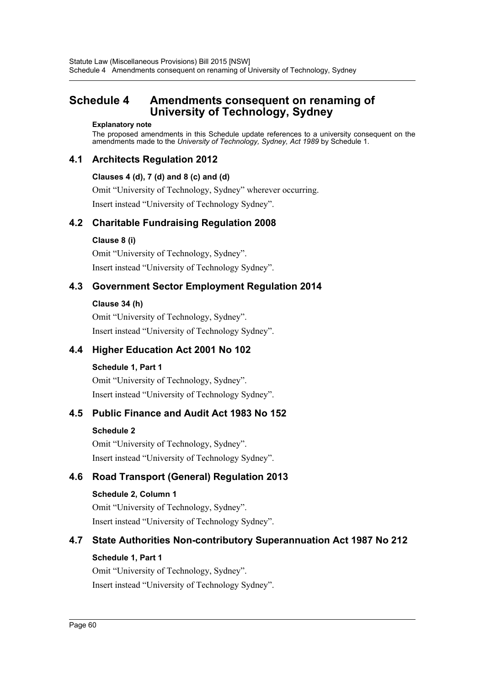# <span id="page-60-0"></span>**Schedule 4 Amendments consequent on renaming of University of Technology, Sydney**

#### **Explanatory note**

The proposed amendments in this Schedule update references to a university consequent on the amendments made to the *University of Technology, Sydney, Act 1989* by Schedule 1.

# **4.1 Architects Regulation 2012**

### **Clauses 4 (d), 7 (d) and 8 (c) and (d)**

Omit "University of Technology, Sydney" wherever occurring. Insert instead "University of Technology Sydney".

# **4.2 Charitable Fundraising Regulation 2008**

### **Clause 8 (i)**

Omit "University of Technology, Sydney". Insert instead "University of Technology Sydney".

# **4.3 Government Sector Employment Regulation 2014**

### **Clause 34 (h)**

Omit "University of Technology, Sydney". Insert instead "University of Technology Sydney".

# **4.4 Higher Education Act 2001 No 102**

### **Schedule 1, Part 1**

Omit "University of Technology, Sydney". Insert instead "University of Technology Sydney".

# **4.5 Public Finance and Audit Act 1983 No 152**

### **Schedule 2**

Omit "University of Technology, Sydney". Insert instead "University of Technology Sydney".

# **4.6 Road Transport (General) Regulation 2013**

# **Schedule 2, Column 1**

Omit "University of Technology, Sydney". Insert instead "University of Technology Sydney".

# **4.7 State Authorities Non-contributory Superannuation Act 1987 No 212**

# **Schedule 1, Part 1**

Omit "University of Technology, Sydney". Insert instead "University of Technology Sydney".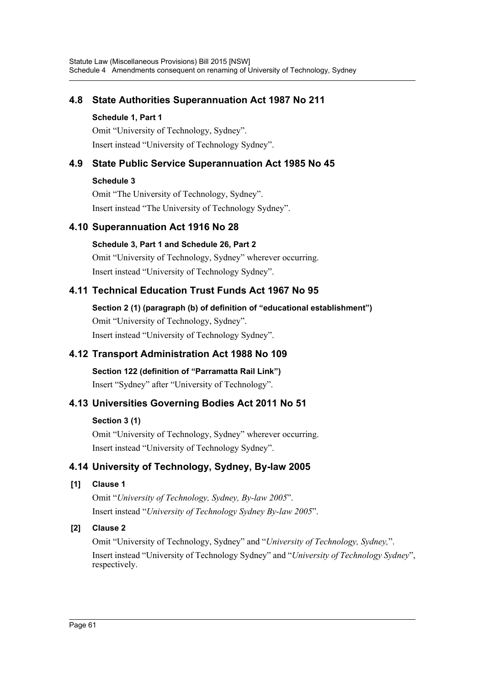# **4.8 State Authorities Superannuation Act 1987 No 211**

### **Schedule 1, Part 1**

Omit "University of Technology, Sydney". Insert instead "University of Technology Sydney".

# **4.9 State Public Service Superannuation Act 1985 No 45**

# **Schedule 3**

Omit "The University of Technology, Sydney". Insert instead "The University of Technology Sydney".

# **4.10 Superannuation Act 1916 No 28**

# **Schedule 3, Part 1 and Schedule 26, Part 2**

Omit "University of Technology, Sydney" wherever occurring. Insert instead "University of Technology Sydney".

# **4.11 Technical Education Trust Funds Act 1967 No 95**

**Section 2 (1) (paragraph (b) of definition of "educational establishment")** Omit "University of Technology, Sydney". Insert instead "University of Technology Sydney".

# **4.12 Transport Administration Act 1988 No 109**

**Section 122 (definition of "Parramatta Rail Link")** Insert "Sydney" after "University of Technology".

# **4.13 Universities Governing Bodies Act 2011 No 51**

# **Section 3 (1)**

Omit "University of Technology, Sydney" wherever occurring. Insert instead "University of Technology Sydney".

# **4.14 University of Technology, Sydney, By-law 2005**

# **[1] Clause 1**

Omit "*University of Technology, Sydney, By-law 2005*". Insert instead "*University of Technology Sydney By-law 2005*".

# **[2] Clause 2**

Omit "University of Technology, Sydney" and "*University of Technology, Sydney,*". Insert instead "University of Technology Sydney" and "*University of Technology Sydney*", respectively.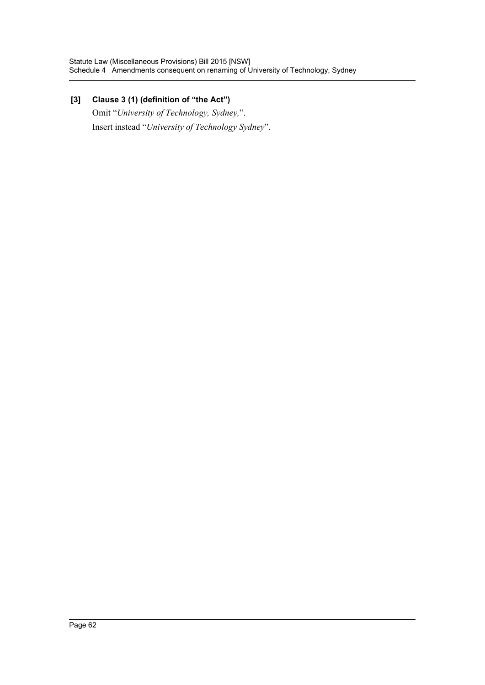# **[3] Clause 3 (1) (definition of "the Act")**

Omit "*University of Technology, Sydney,*". Insert instead "*University of Technology Sydney*".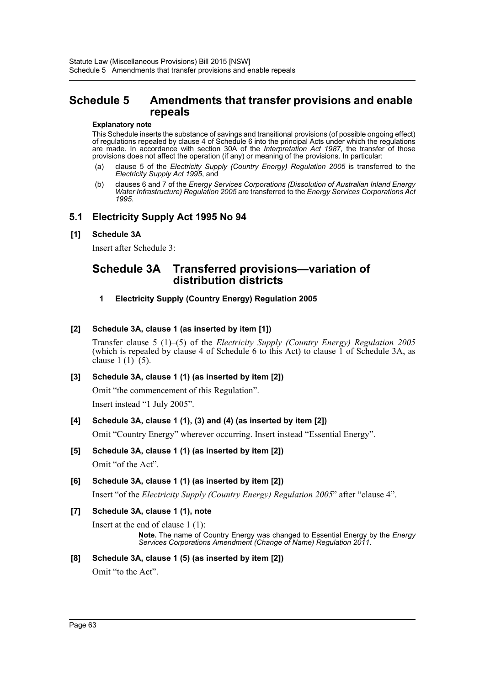# <span id="page-63-0"></span>**Schedule 5 Amendments that transfer provisions and enable repeals**

#### **Explanatory note**

This Schedule inserts the substance of savings and transitional provisions (of possible ongoing effect) of regulations repealed by clause 4 of Schedule 6 into the principal Acts under which the regulations are made. In accordance with section 30A of the *Interpretation Act 1987*, the transfer of those provisions does not affect the operation (if any) or meaning of the provisions. In particular:

- (a) clause 5 of the *Electricity Supply (Country Energy) Regulation 2005* is transferred to the *Electricity Supply Act 1995*, and
- (b) clauses 6 and 7 of the *Energy Services Corporations (Dissolution of Australian Inland Energy Water Infrastructure) Regulation 2005* are transferred to the *Energy Services Corporations Act 1995*.

### **5.1 Electricity Supply Act 1995 No 94**

### **[1] Schedule 3A**

Insert after Schedule 3:

# **Schedule 3A Transferred provisions—variation of distribution districts**

### **1 Electricity Supply (Country Energy) Regulation 2005**

### **[2] Schedule 3A, clause 1 (as inserted by item [1])**

Transfer clause 5 (1)–(5) of the *Electricity Supply (Country Energy) Regulation 2005* (which is repealed by clause 4 of Schedule 6 to this Act) to clause  $\overline{1}$  of Schedule 3A, as clause  $1(1)–(5)$ .

### **[3] Schedule 3A, clause 1 (1) (as inserted by item [2])**

Omit "the commencement of this Regulation". Insert instead "1 July 2005".

### **[4] Schedule 3A, clause 1 (1), (3) and (4) (as inserted by item [2])**

Omit "Country Energy" wherever occurring. Insert instead "Essential Energy".

**[5] Schedule 3A, clause 1 (1) (as inserted by item [2])** Omit "of the Act".

### **[6] Schedule 3A, clause 1 (1) (as inserted by item [2])**

Insert "of the *Electricity Supply (Country Energy) Regulation 2005*" after "clause 4".

### **[7] Schedule 3A, clause 1 (1), note**

Insert at the end of clause 1 (1):

**Note.** The name of Country Energy was changed to Essential Energy by the *Energy Services Corporations Amendment (Change of Name) Regulation 2011*.

# **[8] Schedule 3A, clause 1 (5) (as inserted by item [2])**

Omit "to the Act".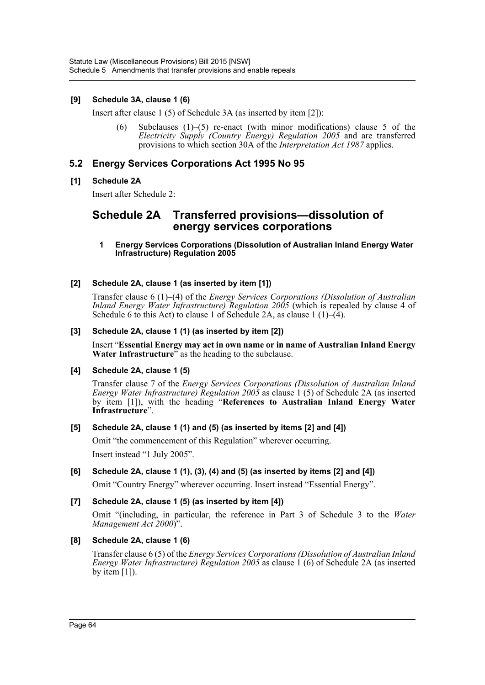### **[9] Schedule 3A, clause 1 (6)**

Insert after clause 1 (5) of Schedule 3A (as inserted by item [2]):

(6) Subclauses  $(1)$ –(5) re-enact (with minor modifications) clause 5 of the *Electricity Supply (Country Energy) Regulation 2005* and are transferred provisions to which section 30A of the *Interpretation Act 1987* applies.

# **5.2 Energy Services Corporations Act 1995 No 95**

### **[1] Schedule 2A**

Insert after Schedule 2:

# **Schedule 2A Transferred provisions—dissolution of energy services corporations**

#### **1 Energy Services Corporations (Dissolution of Australian Inland Energy Water Infrastructure) Regulation 2005**

### **[2] Schedule 2A, clause 1 (as inserted by item [1])**

Transfer clause 6 (1)–(4) of the *Energy Services Corporations (Dissolution of Australian Inland Energy Water Infrastructure) Regulation 2005* (which is repealed by clause 4 of Schedule 6 to this Act) to clause 1 of Schedule 2A, as clause 1 (1)–(4).

### **[3] Schedule 2A, clause 1 (1) (as inserted by item [2])**

Insert "**Essential Energy may act in own name or in name of Australian Inland Energy Water Infrastructure**<sup>7</sup> as the heading to the subclause.

### **[4] Schedule 2A, clause 1 (5)**

Transfer clause 7 of the *Energy Services Corporations (Dissolution of Australian Inland Energy Water Infrastructure) Regulation 2005* as clause 1 (5) of Schedule 2A (as inserted by item [1]), with the heading "**References to Australian Inland Energy Water Infrastructure**".

### **[5] Schedule 2A, clause 1 (1) and (5) (as inserted by items [2] and [4])**

Omit "the commencement of this Regulation" wherever occurring.

Insert instead "1 July 2005".

### **[6] Schedule 2A, clause 1 (1), (3), (4) and (5) (as inserted by items [2] and [4])**

Omit "Country Energy" wherever occurring. Insert instead "Essential Energy".

### **[7] Schedule 2A, clause 1 (5) (as inserted by item [4])**

Omit "(including, in particular, the reference in Part 3 of Schedule 3 to the *Water Management Act 2000*)".

**[8] Schedule 2A, clause 1 (6)**

Transfer clause 6 (5) of the *Energy Services Corporations (Dissolution of Australian Inland Energy Water Infrastructure) Regulation 2005* as clause 1 (6) of Schedule 2A (as inserted by item  $[1]$ ).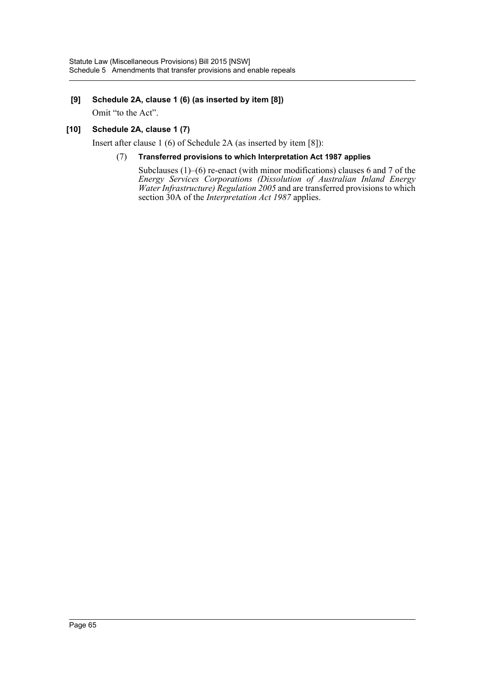### **[9] Schedule 2A, clause 1 (6) (as inserted by item [8])**

Omit "to the Act".

### **[10] Schedule 2A, clause 1 (7)**

Insert after clause 1 (6) of Schedule 2A (as inserted by item [8]):

### (7) **Transferred provisions to which Interpretation Act 1987 applies**

Subclauses (1)–(6) re-enact (with minor modifications) clauses 6 and 7 of the *Energy Services Corporations (Dissolution of Australian Inland Energy Water Infrastructure) Regulation 2005* and are transferred provisions to which section 30A of the *Interpretation Act 1987* applies.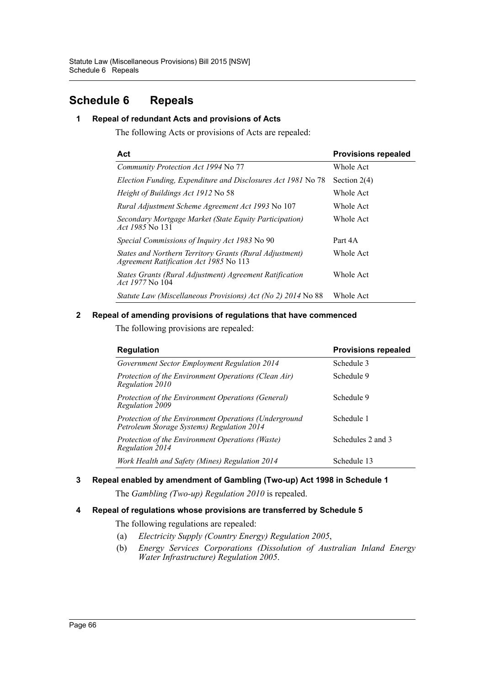# <span id="page-66-0"></span>**Schedule 6 Repeals**

### **1 Repeal of redundant Acts and provisions of Acts**

The following Acts or provisions of Acts are repealed:

| Act                                                                                               | <b>Provisions repealed</b> |
|---------------------------------------------------------------------------------------------------|----------------------------|
| Community Protection Act 1994 No 77                                                               | Whole Act                  |
| Election Funding, Expenditure and Disclosures Act 1981 No 78                                      | Section $2(4)$             |
| <i>Height of Buildings Act 1912 No 58</i>                                                         | Whole Act                  |
| Rural Adjustment Scheme Agreement Act 1993 No 107                                                 | Whole Act                  |
| Secondary Mortgage Market (State Equity Participation)<br><i>Act 1985</i> No 131                  | Whole Act                  |
| <i>Special Commissions of Inquiry Act 1983</i> No 90                                              | Part 4A                    |
| States and Northern Territory Grants (Rural Adjustment)<br>Agreement Ratification Act 1985 No 113 | Whole Act                  |
| States Grants (Rural Adjustment) Agreement Ratification<br><i>Act 1977</i> No 104                 | <b>Whole Act</b>           |
| Statute Law (Miscellaneous Provisions) Act (No 2) 2014 No 88                                      | Whole Act                  |

### **2 Repeal of amending provisions of regulations that have commenced**

The following provisions are repealed:

| <b>Regulation</b>                                                                                   | <b>Provisions repealed</b> |  |
|-----------------------------------------------------------------------------------------------------|----------------------------|--|
| Government Sector Employment Regulation 2014                                                        | Schedule 3                 |  |
| Protection of the Environment Operations (Clean Air)<br>Regulation 2010                             | Schedule 9                 |  |
| Protection of the Environment Operations (General)<br>Regulation 2009                               | Schedule 9                 |  |
| Protection of the Environment Operations (Underground<br>Petroleum Storage Systems) Regulation 2014 | Schedule 1                 |  |
| Protection of the Environment Operations (Waste)<br>Regulation 2014                                 | Schedules 2 and 3          |  |
| Work Health and Safety (Mines) Regulation 2014                                                      | Schedule 13                |  |

# **3 Repeal enabled by amendment of Gambling (Two-up) Act 1998 in Schedule 1**

The *Gambling (Two-up) Regulation 2010* is repealed.

### **4 Repeal of regulations whose provisions are transferred by Schedule 5**

The following regulations are repealed:

- (a) *Electricity Supply (Country Energy) Regulation 2005*,
- (b) *Energy Services Corporations (Dissolution of Australian Inland Energy Water Infrastructure) Regulation 2005*.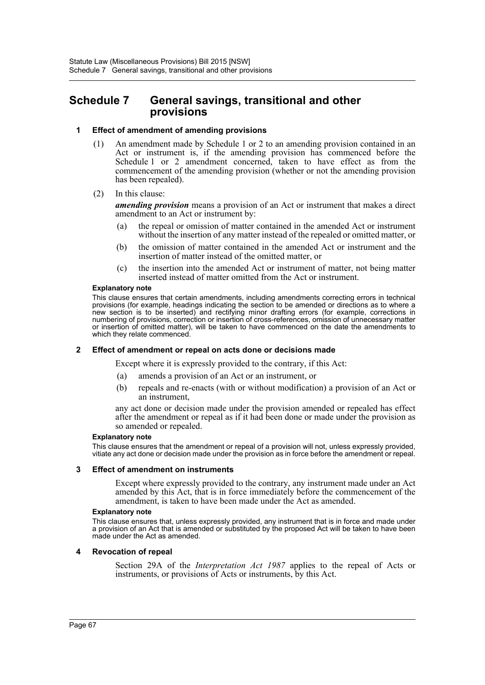# <span id="page-67-0"></span>**Schedule 7 General savings, transitional and other provisions**

#### **1 Effect of amendment of amending provisions**

- (1) An amendment made by Schedule 1 or 2 to an amending provision contained in an Act or instrument is, if the amending provision has commenced before the Schedule 1 or 2 amendment concerned, taken to have effect as from the commencement of the amending provision (whether or not the amending provision has been repealed).
- (2) In this clause:

*amending provision* means a provision of an Act or instrument that makes a direct amendment to an Act or instrument by:

- (a) the repeal or omission of matter contained in the amended Act or instrument without the insertion of any matter instead of the repealed or omitted matter, or
- (b) the omission of matter contained in the amended Act or instrument and the insertion of matter instead of the omitted matter, or
- (c) the insertion into the amended Act or instrument of matter, not being matter inserted instead of matter omitted from the Act or instrument.

#### **Explanatory note**

This clause ensures that certain amendments, including amendments correcting errors in technical provisions (for example, headings indicating the section to be amended or directions as to where a new section is to be inserted) and rectifying minor drafting errors (for example, corrections in numbering of provisions, correction or insertion of cross-references, omission of unnecessary matter or insertion of omitted matter), will be taken to have commenced on the date the amendments to which they relate commenced.

#### **2 Effect of amendment or repeal on acts done or decisions made**

Except where it is expressly provided to the contrary, if this Act:

- (a) amends a provision of an Act or an instrument, or
- (b) repeals and re-enacts (with or without modification) a provision of an Act or an instrument,

any act done or decision made under the provision amended or repealed has effect after the amendment or repeal as if it had been done or made under the provision as so amended or repealed.

#### **Explanatory note**

This clause ensures that the amendment or repeal of a provision will not, unless expressly provided, vitiate any act done or decision made under the provision as in force before the amendment or repeal.

#### **3 Effect of amendment on instruments**

Except where expressly provided to the contrary, any instrument made under an Act amended by this Act, that is in force immediately before the commencement of the amendment, is taken to have been made under the Act as amended.

#### **Explanatory note**

This clause ensures that, unless expressly provided, any instrument that is in force and made under a provision of an Act that is amended or substituted by the proposed Act will be taken to have been made under the Act as amended.

#### **4 Revocation of repeal**

Section 29A of the *Interpretation Act 1987* applies to the repeal of Acts or instruments, or provisions of Acts or instruments, by this Act.